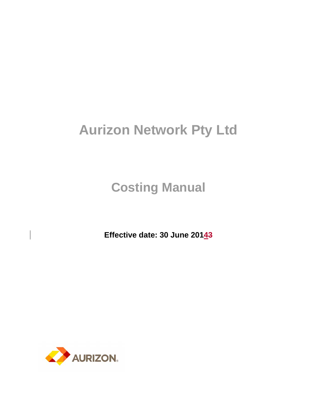# **Aurizon Network Pty Ltd**

**Costing Manual** 

**Effective date: 30 June 20143**

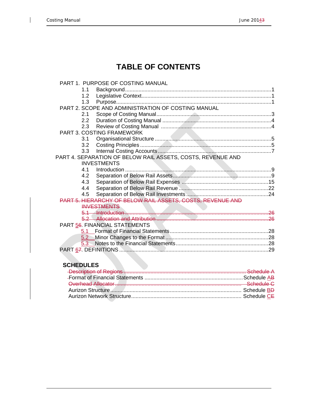$\mathsf{I}$ 

# **TABLE OF CONTENTS**

|         | PART 1. PURPOSE OF COSTING MANUAL                           |  |
|---------|-------------------------------------------------------------|--|
| 1.1     |                                                             |  |
| 1.2     |                                                             |  |
| 1.3     |                                                             |  |
|         | PART 2. SCOPE AND ADMINISTRATION OF COSTING MANUAL          |  |
| 2.1     |                                                             |  |
| 2.2     |                                                             |  |
| 2.3     |                                                             |  |
|         | <b>PART 3. COSTING FRAMEWORK</b>                            |  |
| 3.1     |                                                             |  |
| 3.2     |                                                             |  |
| 3.3     |                                                             |  |
|         | PART 4. SEPARATION OF BELOW RAIL ASSETS, COSTS, REVENUE AND |  |
|         | <b>INVESTMENTS</b>                                          |  |
| 4.1     |                                                             |  |
| 4.2     |                                                             |  |
| 4.3     |                                                             |  |
| 4.4     |                                                             |  |
| 4.5     |                                                             |  |
|         | PART 5. HIERARCHY OF BELOW RAIL ASSETS, COSTS, REVENUE AND  |  |
|         | <b>INVESTMENTS</b>                                          |  |
|         |                                                             |  |
|         |                                                             |  |
|         | PART 56. FINANCIAL STATEMENTS                               |  |
| $5.1 -$ |                                                             |  |
|         |                                                             |  |
|         |                                                             |  |
|         |                                                             |  |
|         |                                                             |  |

# **SCHEDULES**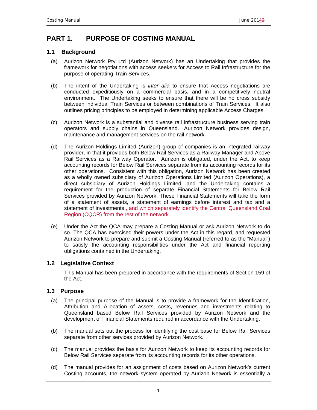# **PART 1. PURPOSE OF COSTING MANUAL**

#### **1.1 Background**

- (a) Aurizon Network Pty Ltd (Aurizon Network) has an Undertaking that provides the framework for negotiations with access seekers for Access to Rail Infrastructure for the purpose of operating Train Services.
- (b) The intent of the Undertaking is *inter alia* to ensure that Access negotiations are conducted expeditiously on a commercial basis, and in a competitively neutral environment. The Undertaking seeks to ensure that there will be no cross subsidy between individual Train Services or between combinations of Train Services. It also outlines pricing principles to be employed in determining applicable Access Charges.
- (c) Aurizon Network is a substantial and diverse rail infrastructure business serving train operators and supply chains in Queensland. Aurizon Network provides design, maintenance and management services on the rail network.
- (d) The Aurizon Holdings Limited (Aurizon) group of companies is an integrated railway provider, in that it provides both Below Rail Services as a Railway Manager and Above Rail Services as a Railway Operator. Aurizon is obligated, under the Act, to keep accounting records for Below Rail Services separate from its accounting records for its other operations. Consistent with this obligation, Aurizon Network has been created as a wholly owned subsidiary of Aurizon Operations Limited (Aurizon Operations), a direct subsidiary of Aurizon Holdings Limited, and the Undertaking contains a requirement for the production of separate Financial Statements for Below Rail Services provided by Aurizon Network. These Financial Statements will take the form of a statement of assets, a statement of earnings before interest and tax and a statement of investments.<del>, and which separately identify the Central Queensland Coal</del> Region (CQCR) from the rest of the network.
- (e) Under the Act the QCA may prepare a Costing Manual or ask Aurizon Network to do so. The QCA has exercised their powers under the Act in this regard, and requested Aurizon Network to prepare and submit a Costing Manual (referred to as the "Manual") to satisfy the accounting responsibilities under the Act and financial reporting obligations contained in the Undertaking.

#### **1.2 Legislative Context**

This Manual has been prepared in accordance with the requirements of Section 159 of the Act.

#### **1.3 Purpose**

- (a) The principal purpose of the Manual is to provide a framework for the Identification, Attribution and Allocation of assets, costs, revenues and investments relating to Queensland based Below Rail Services provided by Aurizon Network and the development of Financial Statements required in accordance with the Undertaking.
- (b) The manual sets out the process for identifying the cost base for Below Rail Services separate from other services provided by Aurizon Network.
- (c) The manual provides the basis for Aurizon Network to keep its accounting records for Below Rail Services separate from its accounting records for its other operations.
- (d) The manual provides for an assignment of costs based on Aurizon Network's current Costing accounts, the network system operated by Aurizon Network is essentially a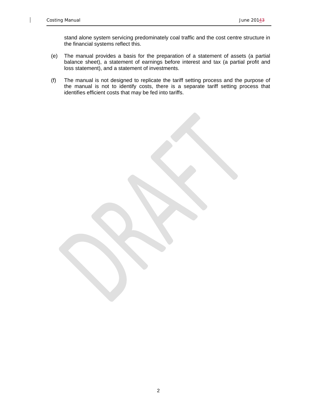$\overline{1}$ 

stand alone system servicing predominately coal traffic and the cost centre structure in the financial systems reflect this.

- (e) The manual provides a basis for the preparation of a statement of assets (a partial balance sheet), a statement of earnings before interest and tax (a partial profit and loss statement), and a statement of investments.
- (f) The manual is not designed to replicate the tariff setting process and the purpose of the manual is not to identify costs, there is a separate tariff setting process that identifies efficient costs that may be fed into tariffs.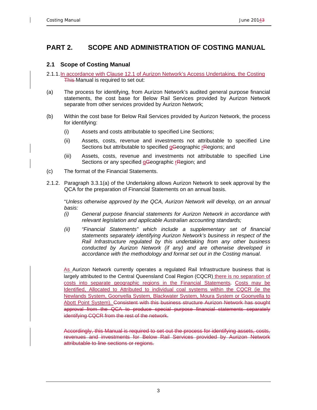# **PART 2. SCOPE AND ADMINISTRATION OF COSTING MANUAL**

### **2.1 Scope of Costing Manual**

- 2.1.1. In accordance with Clause 12.1 of Aurizon Network's Access Undertaking, the Costing This Manual is required to set out:
- (a) The process for identifying, from Aurizon Network's audited general purpose financial statements, the cost base for Below Rail Services provided by Aurizon Network separate from other services provided by Aurizon Network;
- (b) Within the cost base for Below Rail Services provided by Aurizon Network, the process for identifying:
	- (i) Assets and costs attributable to specified Line Sections;
	- (ii) Assets, costs, revenue and investments not attributable to specified Line Sections but attributable to specified gGeographic rRegions; and
	- (iii) Assets, costs, revenue and investments not attributable to specified Line Sections or any specified gGeographic rRegion; and
- (c) The format of the Financial Statements.
- 2.1.2. Paragraph 3.3.1(a) of the Undertaking allows Aurizon Network to seek approval by the QCA for the preparation of Financial Statements on an annual basis.

"*Unless otherwise approved by the QCA, Aurizon Network will develop, on an annual basis:* 

- *(i) General purpose financial statements for Aurizon Network in accordance with relevant legislation and applicable Australian accounting standards;*
- *(ii) "Financial Statements" which include a supplementary set of financial statements separately identifying Aurizon Network's business in respect of the Rail Infrastructure regulated by this undertaking from any other business conducted by Aurizon Network (if any) and are otherwise developed in accordance with the methodology and format set out in the Costing manual.*

As Aurizon Network currently operates a regulated Rail Infrastructure business that is largely attributed to the Central Queensland Coal Region (CQCR) there is no separation of costs into separate geographic regions in the Financial Statements. Costs may be Identified, Allocated to Attributed to individual coal systems within the CQCR (ie the Newlands System, Goonyella System, Blackwater System, Moura System or Goonyella to Abott Point System). Consistent with this business structure Aurizon Network has sought approval from the QCA to produce special purpose financial statements separately identifying CQCR from the rest of the network.

Accordingly, this Manual is required to set out the process for identifying assets, costs, revenues and investments for Below Rail Services provided by Aurizon Network attributable to line sections or regions.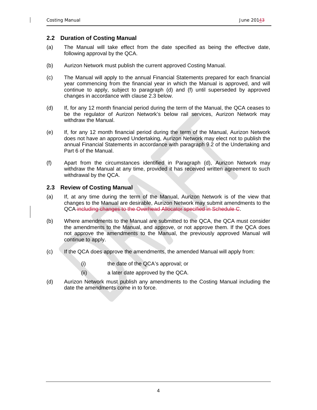#### **2.2 Duration of Costing Manual**

- (a) The Manual will take effect from the date specified as being the effective date, following approval by the QCA.
- (b) Aurizon Network must publish the current approved Costing Manual.
- (c) The Manual will apply to the annual Financial Statements prepared for each financial year commencing from the financial year in which the Manual is approved, and will continue to apply, subject to paragraph (d) and (f) until superseded by approved changes in accordance with clause 2.3 below.
- (d) If, for any 12 month financial period during the term of the Manual, the QCA ceases to be the regulator of Aurizon Network's below rail services, Aurizon Network may withdraw the Manual.
- (e) If, for any 12 month financial period during the term of the Manual, Aurizon Network does not have an approved Undertaking, Aurizon Network may elect not to publish the annual Financial Statements in accordance with paragraph 9.2 of the Undertaking and Part 6 of the Manual.
- (f) Apart from the circumstances identified in Paragraph (d), Aurizon Network may withdraw the Manual at any time, provided it has received written agreement to such withdrawal by the QCA.

#### **2.3 Review of Costing Manual**

- (a) If, at any time during the term of the Manual, Aurizon Network is of the view that changes to the Manual are desirable, Aurizon Network may submit amendments to the QCA including changes to the Overhead Allocator specified in Schedule C.
- (b) Where amendments to the Manual are submitted to the QCA, the QCA must consider the amendments to the Manual, and approve, or not approve them. If the QCA does not approve the amendments to the Manual, the previously approved Manual will continue to apply.
- (c) If the QCA does approve the amendments, the amended Manual will apply from:
	- (i) the date of the QCA's approval; or
	- (ii) a later date approved by the QCA.
- (d) Aurizon Network must publish any amendments to the Costing Manual including the date the amendments come in to force.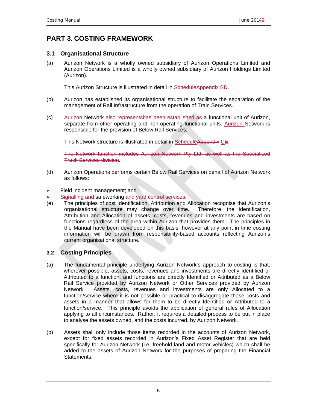# **PART 3. COSTING FRAMEWORK**

#### **3.1 Organisational Structure**

(a) Aurizon Network is a wholly owned subsidiary of Aurizon Operations Limited and Aurizon Operations Limited is a wholly owned subsidiary of Aurizon Holdings Limited (Aurizon).

This Aurizon Structure is illustrated in detail in ScheduleAppendix BD.

- (b) Aurizon has established its organisational structure to facilitate the separation of the management of Rail Infrastructure from the operation of Train Services.
- (c) Aurizon Network also representshas been established as a functional unit of Aurizon, separate from other operating and non-operating functional units. Aurizon Network is responsible for the provision of Below Rail Services.

This Network structure is illustrated in detail in ScheduleAppendix CE.

The Network function includes Aurizon Network Pty Ltd, as well as the Specialised Track Services division.

- (d) Aurizon Operations performs certain Below Rail Services on behalf of Aurizon Network as follows:
- Field incident management; and
- Signalling and safeworking and yard control services.
- (e) The principles of cost Identification, Attribution and Allocation recognise that Aurizon's organisational structure may change over time. Therefore, the Identification, Attribution and Allocation of assets, costs, revenues and investments are based on functions regardless of the area within Aurizon that provides them. The principles in the Manual have been developed on this basis, however at any point in time costing information will be drawn from responsibility-based accounts reflecting Aurizon's current organisational structure.

#### **3.2 Costing Principles**

- (a) The fundamental principle underlying Aurizon Network's approach to costing is that, wherever possible, assets, costs, revenues and investments are directly Identified or Attributed to a function, and functions are directly Identified or Attributed as a Below Rail Service provided by Aurizon Network or Other Services provided by Aurizon Network. Assets, costs, revenues and investments are only Allocated to a function/service where it is not possible or practical to disaggregate those costs and assets in a manner that allows for them to be directly Identified or Attributed to a function/service. This principle avoids the application of general rules of Allocation applying to all circumstances. Rather, it requires a detailed process to be put in place to analyse the assets owned, and the costs incurred, by Aurizon Network.
- (b) Assets shall only include those items recorded in the accounts of Aurizon Network, except for fixed assets recorded in Aurizon's Fixed Asset Register that are held specifically for Aurizon Network (i.e. freehold land and motor vehicles) which shall be added to the assets of Aurizon Network for the purposes of preparing the Financial Statements.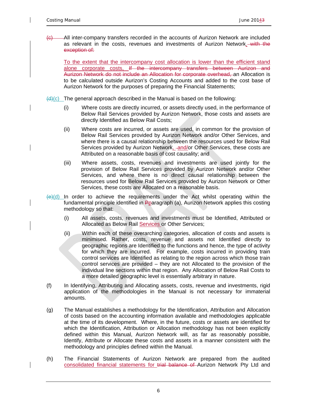-All inter-company transfers recorded in the accounts of Aurizon Network are included as relevant in the costs, revenues and investments of Aurizon Network. with the exception of:

To the extent that the intercompany cost allocation is lower than the efficient stand alone corporate costs, If the intercompany transfers between Aurizon and Aurizon Network do not include an Allocation for corporate overhead, an Allocation is to be calculated outside Aurizon's Costing Accounts and added to the cost base of Aurizon Network for the purposes of preparing the Financial Statements;

- $\left(\frac{d}{dx}\right)(c)$  The general approach described in the Manual is based on the following:
	- (i) Where costs are directly incurred, or assets directly used, in the performance of Below Rail Services provided by Aurizon Network, those costs and assets are directly Identified as Below Rail Costs;
	- (ii) Where costs are incurred, or assets are used, in common for the provision of Below Rail Services provided by Aurizon Network and/or Other Services, and where there is a causal relationship between the resources used for Below Rail Services provided by Aurizon Network, and/or Other Services, these costs are Attributed on a reasonable basis of cost causality; and
	- (iii) Where assets, costs, revenues and investments are used jointly for the provision of Below Rail Services provided by Aurizon Network and/or Other Services, and where there is no direct causal relationship between the resources used for Below Rail Services provided by Aurizon Network or Other Services, these costs are Allocated on a reasonable basis.
- $\left(\frac{e}{e}\right)$  In order to achieve the requirements under the Act whilst operating within the fundamental principle identified in Pparagraph (a), Aurizon Network applies this costing methodology so that:
	- (i) All assets, costs, revenues and investments must be Identified, Attributed or Allocated as Below Rail Services or Other Services;
	- (ii) Within each of these overarching categories, allocation of costs and assets is minimised. Rather, costs, revenue and assets not Identified directly to geographic regions are Identified to the functions and hence, the type of activity for which they are incurred. For example, costs incurred in providing train control services are Identified as relating to the region across which those train control services are provided – they are not Allocated to the provision of the individual line sections within that region. Any Allocation of Below Rail Costs to a more detailed geographic level is essentially arbitrary in nature.
- (f) In Identifying, Attributing and Allocating assets, costs, revenue and investments, rigid application of the methodologies in the Manual is not necessary for immaterial amounts.
- (g) The Manual establishes a methodology for the Identification, Attribution and Allocation of costs based on the accounting information available and methodologies applicable at the time of its development. Where, in the future, costs or assets are identified for which the Identification, Attribution or Allocation methodology has not been explicitly defined within this Manual, Aurizon Network will, as far as reasonably possible, Identify, Attribute or Allocate these costs and assets in a manner consistent with the methodology and principles defined within the Manual.
- (h) The Financial Statements of Aurizon Network are prepared from the audited consolidated financial statements for trial balance of Aurizon Network Pty Ltd and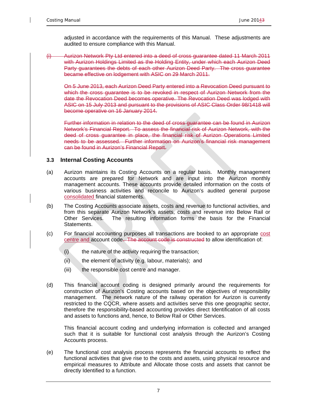adjusted in accordance with the requirements of this Manual. These adjustments are audited to ensure compliance with this Manual.

(i) Aurizon Network Pty Ltd entered into a deed of cross guarantee dated 11 March 2011 with Aurizon Holdings Limited as the Holding Entity, under which each Aurizon Deed Party guarantees the debts of each other Aurizon Deed Party. The cross guarantee became effective on lodgement with ASIC on 29 March 2011.

On 5 June 2013, each Aurizon Deed Party entered into a Revocation Deed pursuant to which the cross guarantee is to be revoked in respect of Aurizon Network from the date the Revocation Deed becomes operative. The Revocation Deed was lodged with ASIC on 15 July 2013 and pursuant to the provisions of ASIC Class Order 98/1418 will become operative on 16 January 2014.

Further information in relation to the deed of cross guarantee can be found in Aurizon Network's Financial Report. To assess the financial risk of Aurizon Network, with the deed of cross guarantee in place, the financial risk of Aurizon Operations Limited needs to be assessed. Further information on Aurizon's financial risk management can be found in Aurizon's Financial Report.

#### **3.3 Internal Costing Accounts**

- (a) Aurizon maintains its Costing Accounts on a regular basis. Monthly management accounts are prepared for Network and are input into the Aurizon monthly management accounts. These accounts provide detailed information on the costs of various business activities and reconcile to Aurizon's audited general purpose consolidated financial statements.
- (b) The Costing Accounts associate assets, costs and revenue to functional activities, and from this separate Aurizon Network's assets, costs and revenue into Below Rail or Other Services. The resulting information forms the basis for the Financial Statements.
- (c) For financial accounting purposes all transactions are booked to an appropriate cost centre and account code. The account code is constructed to allow identification of:
	- (i) the nature of the activity requiring the transaction;
	- (ii) the element of activity (e.g. labour, materials); and
	- (iii) the responsible cost centre and manager.
- (d) This financial account coding is designed primarily around the requirements for construction of Aurizon's Costing accounts based on the objectives of responsibility management. The network nature of the railway operation for Aurizon is currently restricted to the CQCR, where assets and activities serve this one geographic sector, therefore the responsibility-based accounting provides direct Identification of all costs and assets to functions and, hence, to Below Rail or Other Services.

This financial account coding and underlying information is collected and arranged such that it is suitable for functional cost analysis through the Aurizon's Costing Accounts process.

(e) The functional cost analysis process represents the financial accounts to reflect the functional activities that give rise to the costs and assets, using physical resource and empirical measures to Attribute and Allocate those costs and assets that cannot be directly Identified to a function.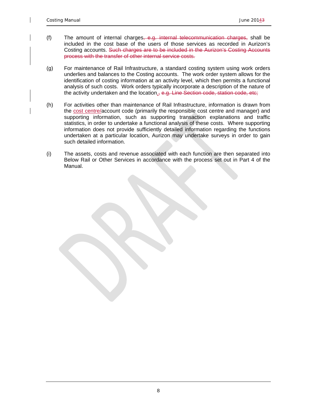- (f) The amount of internal charges, e.g. internal telecommunication charges, shall be included in the cost base of the users of those services as recorded in Aurizon's Costing accounts. Such charges are to be included in the Aurizon's Costing Accounts process with the transfer of other internal service costs.
- (g) For maintenance of Rail Infrastructure, a standard costing system using work orders underlies and balances to the Costing accounts. The work order system allows for the identification of costing information at an activity level, which then permits a functional analysis of such costs. Work orders typically incorporate a description of the nature of the activity undertaken and the location<sub>1</sub>, e.g. Line Section code, station code, etc;
- (h) For activities other than maintenance of Rail Infrastructure, information is drawn from the cost centre/account code (primarily the responsible cost centre and manager) and supporting information, such as supporting transaction explanations and traffic statistics, in order to undertake a functional analysis of these costs. Where supporting information does not provide sufficiently detailed information regarding the functions undertaken at a particular location, Aurizon may undertake surveys in order to gain such detailed information.
- (i) The assets, costs and revenue associated with each function are then separated into Below Rail or Other Services in accordance with the process set out in Part 4 of the Manual.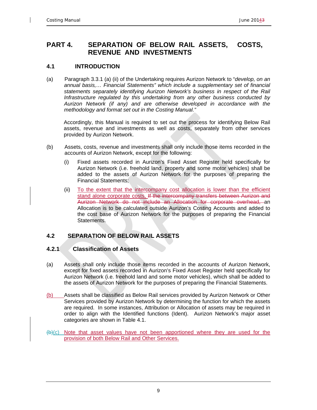# **PART 4. SEPARATION OF BELOW RAIL ASSETS, COSTS, REVENUE AND INVESTMENTS**

### **4.1 INTRODUCTION**

(a) Paragraph 3.3.1 (a) (ii) of the Undertaking requires Aurizon Network to "*develop, on an annual basis,… Financial Statements" which include a supplementary set of financial statements separately identifying Aurizon Network's business in respect of the Rail Infrastructure regulated by this undertaking from any other business conducted by Aurizon Network (if any) and are otherwise developed in accordance with the methodology and format set out in the Costing Manual."*

Accordingly, this Manual is required to set out the process for identifying Below Rail assets, revenue and investments as well as costs, separately from other services provided by Aurizon Network.

- (b) Assets, costs, revenue and investments shall only include those items recorded in the accounts of Aurizon Network, except for the following:
	- (i) Fixed assets recorded in Aurizon's Fixed Asset Register held specifically for Aurizon Network (i.e. freehold land, property and some motor vehicles) shall be added to the assets of Aurizon Network for the purposes of preparing the Financial Statements;
	- (ii) To the extent that the intercompany cost allocation is lower than the efficient stand alone corporate costs, If the intercompany transfers between Aurizon and Aurizon Network do not include an Allocation for corporate overhead, an Allocation is to be calculated outside Aurizon's Costing Accounts and added to the cost base of Aurizon Network for the purposes of preparing the Financial Statements.

# **4.2 SEPARATION OF BELOW RAIL ASSETS**

### **4.2.1 Classification of Assets**

- (a) Assets shall only include those items recorded in the accounts of Aurizon Network, except for fixed assets recorded in Aurizon's Fixed Asset Register held specifically for Aurizon Network (i.e. freehold land and some motor vehicles), which shall be added to the assets of Aurizon Network for the purposes of preparing the Financial Statements.
- (b) Assets shall be classified as Below Rail services provided by Aurizon Network or Other Services provided by Aurizon Network by determining the function for which the assets are required. In some instances, Attribution or Allocation of assets may be required in order to align with the Identified functions (Ident). Aurizon Network's major asset categories are shown in Table 4.1.
- $(b)$ (c) Note that asset values have not been apportioned where they are used for the provision of both Below Rail and Other Services.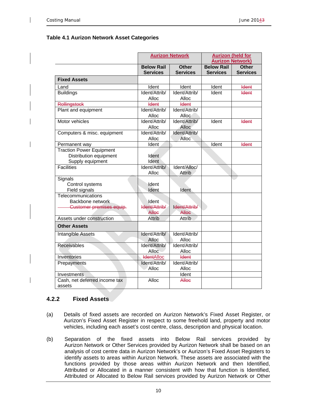#### **Table 4.1 Aurizon Network Asset Categories**

|                                 |                   | <b>Aurizon Network</b> |                   | <b>Aurizon (held for</b> |
|---------------------------------|-------------------|------------------------|-------------------|--------------------------|
|                                 |                   |                        |                   | <b>Aurizon Network)</b>  |
|                                 | <b>Below Rail</b> | <b>Other</b>           | <b>Below Rail</b> | <b>Other</b>             |
|                                 | <b>Services</b>   | <b>Services</b>        | <b>Services</b>   | <b>Services</b>          |
| <b>Fixed Assets</b>             |                   |                        |                   |                          |
| Land                            | Ident             | Ident                  | Ident             | <b>Ident</b>             |
| <b>Buildings</b>                | Ident/Attrib/     | Ident/Attrib/          | Ident             | <b>Ident</b>             |
|                                 | Alloc             | Alloc                  |                   |                          |
| <b>Rollingstock</b>             | <b>Ident</b>      | <b>Ident</b>           |                   |                          |
| Plant and equipment             | Ident/Attrib/     | Ident/Attrib/          |                   |                          |
|                                 | Alloc             | Alloc                  |                   |                          |
| Motor vehicles                  | Ident/Attrib/     | Ident/Attrib/          | Ident             | <b>Ident</b>             |
|                                 | Alloc             | Alloc                  |                   |                          |
| Computers & misc. equipment     | Ident/Attrib/     | Ident/Attrib/          |                   |                          |
|                                 | Alloc             | Alloc                  |                   |                          |
| Permanent way                   | Ident             |                        | Ident             | <b>Ident</b>             |
| <b>Traction Power Equipment</b> |                   |                        |                   |                          |
| Distribution equipment          | Ident             |                        |                   |                          |
| Supply equipment                | Ident             |                        |                   |                          |
| <b>Facilities</b>               | Ident/Attrib/     | Ident/Alloc/           |                   |                          |
|                                 | Alloc             | <b>Attrib</b>          |                   |                          |
| Signals                         |                   |                        |                   |                          |
| Control systems                 | Ident             |                        |                   |                          |
| Field signals                   | Ident             | Ident                  |                   |                          |
| Telecommunications              |                   |                        |                   |                          |
| Backbone network                | Ident             |                        |                   |                          |
| <b>Customer premises equip-</b> | Ident/Attrib/     | Ident/Attrib/          |                   |                          |
|                                 | <b>Allee</b>      | <b>Allee</b>           |                   |                          |
| Assets under construction       | <b>Attrib</b>     | Attrib                 |                   |                          |
| <b>Other Assets</b>             |                   |                        |                   |                          |
| Intangible Assets               | Ident/Attrib/     | Ident/Attrib/          |                   |                          |
|                                 | Alloc             | Alloc                  |                   |                          |
| <b>Receivables</b>              | Ident/Attrib/     | Ident/Attrib/          |                   |                          |
|                                 | Alloc             | Alloc                  |                   |                          |
| Inventories                     | <b>IdentAlloc</b> | <b>Ident</b>           |                   |                          |
| Prepayments                     | Ident/Attrib/     | Ident/Attrib/          |                   |                          |
|                                 | Alloc             | Alloc                  |                   |                          |
| Investments                     |                   | Ident                  |                   |                          |
| Cash, net deferred income tax   | Alloc             | Alloc                  |                   |                          |
| assets                          |                   |                        |                   |                          |

#### **4.2.2 Fixed Assets**

- (a) Details of fixed assets are recorded on Aurizon Network's Fixed Asset Register, or Aurizon's Fixed Asset Register in respect to some freehold land, property and motor vehicles, including each asset's cost centre, class, description and physical location.
- (b) Separation of the fixed assets into Below Rail services provided by Aurizon Network or Other Services provided by Aurizon Network shall be based on an analysis of cost centre data in Aurizon Network's or Aurizon's Fixed Asset Registers to identify assets to areas within Aurizon Network. These assets are associated with the functions provided by those areas within Aurizon Network and then Identified, Attributed or Allocated in a manner consistent with how that function is Identified, Attributed or Allocated to Below Rail services provided by Aurizon Network or Other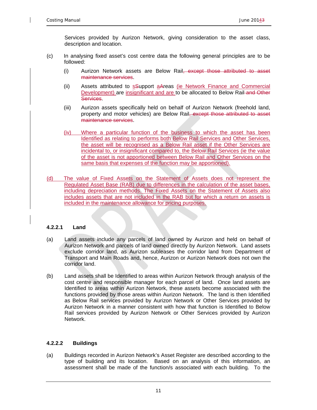Services provided by Aurizon Network, giving consideration to the asset class, description and location.

- (c) In analysing fixed asset's cost centre data the following general principles are to be followed:
	- (i) Aurizon Network assets are Below Rail<del>, except those attributed to asset</del> maintenance services.
	- (ii) Assets attributed to sSupport a Areas (ie Network Finance and Commercial Development) are insignificant and are to be allocated to Below Rail-and Other Services.
	- (iii) Aurizon assets specifically held on behalf of Aurizon Network (freehold land, property and motor vehicles) are Below Rail, except those attributed to asset maintenance services.
	- (iv) Where a particular function of the business to which the asset has been Identified as relating to performs both Below Rail Services and Other Services, the asset will be recognised as a Below Rail asset if the Other Services are incidental to, or insignificant compared to, the Below Rail Services (ie the value of the asset is not apportioned between Below Rail and Other Services on the same basis that expenses of the function may be apportioned).
- (d) The value of Fixed Assets on the Statement of Assets does not represent the Regulated Asset Base (RAB) due to differences in the calculation of the asset bases, including depreciation methods. The Fixed Assets on the Statement of Assets also includes assets that are not included in the RAB but for which a return on assets is included in the maintenance allowance for pricing purposes.

#### **4.2.2.1 Land**

- (a) Land assets include any parcels of land owned by Aurizon and held on behalf of Aurizon Network and parcels of land owned directly by Aurizon Network. Land assets exclude corridor land, as Aurizon subleases the corridor land from Department of Transport and Main Roads and, hence, Aurizon or Aurizon Network does not own the corridor land.
- (b) Land assets shall be Identified to areas within Aurizon Network through analysis of the cost centre and responsible manager for each parcel of land. Once land assets are Identified to areas within Aurizon Network, these assets become associated with the functions provided by those areas within Aurizon Network. The land is then Identified as Below Rail services provided by Aurizon Network or Other Services provided by Aurizon Network in a manner consistent with how that function is Identified to Below Rail services provided by Aurizon Network or Other Services provided by Aurizon Network.

#### **4.2.2.2 Buildings**

(a) Buildings recorded in Aurizon Network's Asset Register are described according to the type of building and its location. Based on an analysis of this information, an assessment shall be made of the function/s associated with each building. To the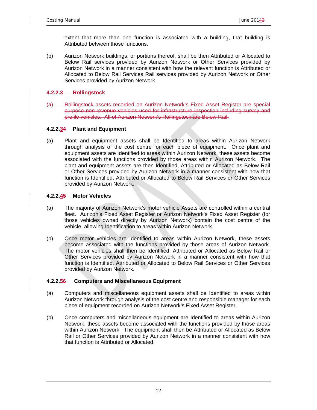extent that more than one function is associated with a building, that building is Attributed between those functions.

(b) Aurizon Network buildings, or portions thereof, shall be then Attributed or Allocated to Below Rail services provided by Aurizon Network or Other Services provided by Aurizon Network in a manner consistent with how the relevant function is Attributed or Allocated to Below Rail Services Rail services provided by Aurizon Network or Other Services provided by Aurizon Network.

#### **4.2.2.3 Rollingstock**

(a) Rollingstock assets recorded on Aurizon Network's Fixed Asset Register are special purpose non-revenue vehicles used for infrastructure inspection including survey and profile vehicles. All of Aurizon Network's Rollingstock are Below Rail.

#### **4.2.2.34 Plant and Equipment**

(a) Plant and equipment assets shall be Identified to areas within Aurizon Network through analysis of the cost centre for each piece of equipment. Once plant and equipment assets are Identified to areas within Aurizon Network, these assets become associated with the functions provided by those areas within Aurizon Network. The plant and equipment assets are then Identified, Attributed or Allocated as Below Rail or Other Services provided by Aurizon Network in a manner consistent with how that function is Identified, Attributed or Allocated to Below Rail Services or Other Services provided by Aurizon Network.

#### **4.2.2.45 Motor Vehicles**

- (a) The majority of Aurizon Network's motor vehicle Assets are controlled within a central fleet. Aurizon's Fixed Asset Register or Aurizon Network's Fixed Asset Register (for those vehicles owned directly by Aurizon Network) contain the cost centre of the vehicle, allowing Identification to areas within Aurizon Network.
- (b) Once motor vehicles are Identified to areas within Aurizon Network, these assets become associated with the functions provided by those areas of Aurizon Network. The motor vehicles shall then be Identified, Attributed or Allocated as Below Rail or Other Services provided by Aurizon Network in a manner consistent with how that function is Identified, Attributed or Allocated to Below Rail Services or Other Services provided by Aurizon Network.

#### **4.2.2.56 Computers and Miscellaneous Equipment**

- (a) Computers and miscellaneous equipment assets shall be Identified to areas within Aurizon Network through analysis of the cost centre and responsible manager for each piece of equipment recorded on Aurizon Network's Fixed Asset Register.
- (b) Once computers and miscellaneous equipment are Identified to areas within Aurizon Network, these assets become associated with the functions provided by those areas within Aurizon Network. The equipment shall then be Attributed or Allocated as Below Rail or Other Services provided by Aurizon Network in a manner consistent with how that function is Attributed or Allocated.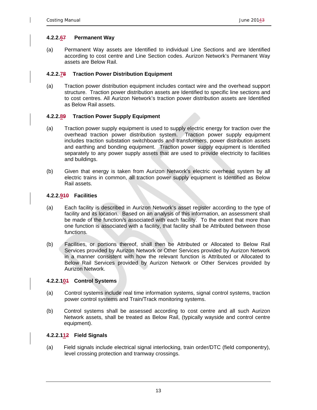#### **4.2.2.67 Permanent Way**

(a) Permanent Way assets are Identified to individual Line Sections and are Identified according to cost centre and Line Section codes. Aurizon Network's Permanent Way assets are Below Rail.

#### **4.2.2.78 Traction Power Distribution Equipment**

(a) Traction power distribution equipment includes contact wire and the overhead support structure. Traction power distribution assets are Identified to specific line sections and to cost centres. All Aurizon Network's traction power distribution assets are Identified as Below Rail assets.

#### **4.2.2.89 Traction Power Supply Equipment**

- (a) Traction power supply equipment is used to supply electric energy for traction over the overhead traction power distribution system. Traction power supply equipment includes traction substation switchboards and transformers, power distribution assets and earthing and bonding equipment. Traction power supply equipment is Identified separately to any power supply assets that are used to provide electricity to facilities and buildings.
- (b) Given that energy is taken from Aurizon Network's electric overhead system by all electric trains in common, all traction power supply equipment is Identified as Below Rail assets.

#### **4.2.2.910 Facilities**

- (a) Each facility is described in Aurizon Network's asset register according to the type of facility and its location. Based on an analysis of this information, an assessment shall be made of the function/s associated with each facility. To the extent that more than one function is associated with a facility, that facility shall be Attributed between those functions.
- (b) Facilities, or portions thereof, shall then be Attributed or Allocated to Below Rail Services provided by Aurizon Network or Other Services provided by Aurizon Network in a manner consistent with how the relevant function is Attributed or Allocated to Below Rail Services provided by Aurizon Network or Other Services provided by Aurizon Network.

#### **4.2.2.101 Control Systems**

- (a) Control systems include real time information systems, signal control systems, traction power control systems and Train/Track monitoring systems.
- (b) Control systems shall be assessed according to cost centre and all such Aurizon Network assets, shall be treated as Below Rail, (typically wayside and control centre equipment).

#### **4.2.2.112 Field Signals**

(a) Field signals include electrical signal interlocking, train order/DTC (field componentry), level crossing protection and tramway crossings.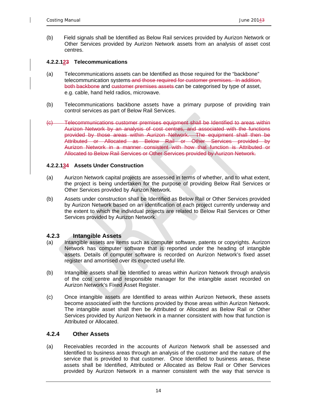(b) Field signals shall be Identified as Below Rail services provided by Aurizon Network or Other Services provided by Aurizon Network assets from an analysis of asset cost centres.

#### **4.2.2.123 Telecommunications**

- (a) Telecommunications assets can be Identified as those required for the "backbone" telecommunication systems and those required for customer premises. In addition, both backbone and customer premises assets can be categorised by type of asset, e.g. cable, hand held radios, microwave.
- (b) Telecommunications backbone assets have a primary purpose of providing train control services as part of Below Rail Services.
- (c) Telecommunications customer premises equipment shall be Identified to areas within Aurizon Network by an analysis of cost centres, and associated with the functions provided by those areas within Aurizon Network. The equipment shall then be Attributed or Allocated as Below Rail or Other Services provided by Aurizon Network in a manner consistent with how that function is Attributed or Allocated to Below Rail Services or Other Services provided by Aurizon Network.

#### **4.2.2.134 Assets Under Construction**

- (a) Aurizon Network capital projects are assessed in terms of whether, and to what extent, the project is being undertaken for the purpose of providing Below Rail Services or Other Services provided by Aurizon Network.
- (b) Assets under construction shall be Identified as Below Rail or Other Services provided by Aurizon Network based on an identification of each project currently underway and the extent to which the individual projects are related to Below Rail Services or Other Services provided by Aurizon Network.

#### **4.2.3 Intangible Assets**

- (a) Intangible assets are items such as computer software, patents or copyrights. Aurizon Network has computer software that is reported under the heading of intangible assets. Details of computer software is recorded on Aurizon Network's fixed asset register and amortised over its expected useful life.
- (b) Intangible assets shall be Identified to areas within Aurizon Network through analysis of the cost centre and responsible manager for the intangible asset recorded on Aurizon Network's Fixed Asset Register.
- (c) Once intangible assets are Identified to areas within Aurizon Network, these assets become associated with the functions provided by those areas within Aurizon Network. The intangible asset shall then be Attributed or Allocated as Below Rail or Other Services provided by Aurizon Network in a manner consistent with how that function is Attributed or Allocated.

#### **4.2.4 Other Assets**

(a) Receivables recorded in the accounts of Aurizon Network shall be assessed and Identified to business areas through an analysis of the customer and the nature of the service that is provided to that customer. Once Identified to business areas, these assets shall be Identified, Attributed or Allocated as Below Rail or Other Services provided by Aurizon Network in a manner consistent with the way that service is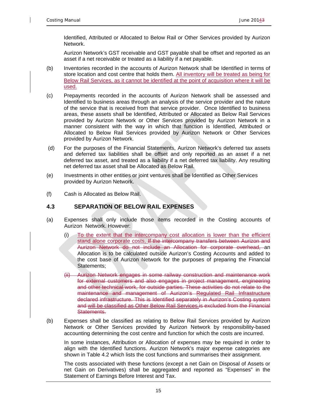Identified, Attributed or Allocated to Below Rail or Other Services provided by Aurizon Network.

 Aurizon Network's GST receivable and GST payable shall be offset and reported as an asset if a net receivable or treated as a liability if a net payable.

- (b) Inventories recorded in the accounts of Aurizon Network shall be Identified in terms of store location and cost centre that holds them. All inventory will be treated as being for Below Rail Services, as it cannot be identified at the point of acquisition where it will be used.
- (c) Prepayments recorded in the accounts of Aurizon Network shall be assessed and Identified to business areas through an analysis of the service provider and the nature of the service that is received from that service provider. Once Identified to business areas, these assets shall be Identified, Attributed or Allocated as Below Rail Services provided by Aurizon Network or Other Services provided by Aurizon Network in a manner consistent with the way in which that function is Identified, Attributed or Allocated to Below Rail Services provided by Aurizon Network or Other Services provided by Aurizon Network.
- (d) For the purposes of the Financial Statements, Aurizon Network's deferred tax assets and deferred tax liabilities shall be offset and only reported as an asset if a net deferred tax asset, and treated as a liability if a net deferred tax liability. Any resulting net deferred tax asset shall be Allocated as Below Rail.
- (e) Investments in other entities or joint ventures shall be Identified as Other Services provided by Aurizon Network.
- (f) Cash is Allocated as Below Rail.

### **4.3 SEPARATION OF BELOW RAIL EXPENSES**

- (a) Expenses shall only include those items recorded in the Costing accounts of Aurizon Network. However:
	- (i) To the extent that the intercompany cost allocation is lower than the efficient stand alone corporate costs, If the intercompany transfers between Aurizon and Aurizon Network do not include an Allocation for corporate overhead, an Allocation is to be calculated outside Aurizon's Costing Accounts and added to the cost base of Aurizon Network for the purposes of preparing the Financial Statements;
	- (ii) Aurizon Network engages in some railway construction and maintenance work for external customers and also engages in project management, engineering and other technical work, for outside parties. These activities do not relate to the maintenance and management of Aurizon's Regulated Rail Infrastructure declared infrastructure. This is Identified separately in Aurizon's Costing system and will be classified as Other Below Rail Services.is excluded from the Financial Statements.
- (b) Expenses shall be classified as relating to Below Rail Services provided by Aurizon Network or Other Services provided by Aurizon Network by responsibility-based accounting determining the cost centre and function for which the costs are incurred.

In some instances, Attribution or Allocation of expenses may be required in order to align with the Identified functions. Aurizon Network's major expense categories are shown in Table 4.2 which lists the cost functions and summarises their assignment.

The costs associated with these functions (except a net Gain on Disposal of Assets or net Gain on Derivatives) shall be aggregated and reported as "Expenses" in the Statement of Earnings Before Interest and Tax.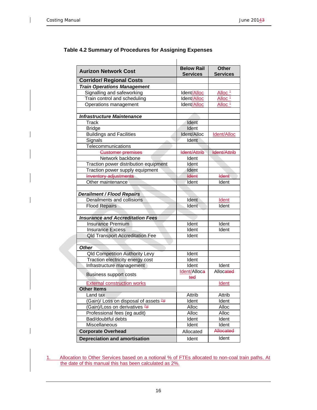| <b>Aurizon Network Cost</b>              | <b>Below Rail</b><br><b>Services</b> | <b>Other</b><br><b>Services</b> |
|------------------------------------------|--------------------------------------|---------------------------------|
| <b>Corridor/ Regional Costs</b>          |                                      |                                 |
| <b>Train Operations Management</b>       |                                      |                                 |
| Signalling and safeworking               | Ident/Alloc                          | Alloc <sup>1</sup>              |
| Train control and scheduling             | Ident/Alloc                          | Alloc <sup>1</sup>              |
| Operations management                    | Ident/Alloc                          | Alloc <sup>1</sup>              |
|                                          |                                      |                                 |
| <b>Infrastructure Maintenance</b>        |                                      |                                 |
| Track                                    | Ident                                |                                 |
| <b>Bridge</b>                            | Ident                                |                                 |
| <b>Buildings and Facilities</b>          | Ident/Alloc                          | <b>Ident/Alloc</b>              |
| Signals                                  | Ident                                |                                 |
| Telecommunications                       |                                      |                                 |
| <b>Customer premises</b>                 | <b>Ident/Attrib</b>                  | <b>Ident/Attrib</b>             |
| Network backbone                         | Ident                                |                                 |
| Traction power distribution equipment    | Ident                                |                                 |
| Traction power supply equipment          | Ident                                |                                 |
| Inventory adjustments                    | <b>Ident</b>                         | <b>Ident</b>                    |
| Other maintenance                        | Ident                                | Ident                           |
|                                          |                                      |                                 |
| <b>Derailment / Flood Repairs</b>        |                                      |                                 |
| Derailments and collisions               | Ident                                | <b>Ident</b>                    |
| <b>Flood Repairs</b>                     | Ident                                | Ident                           |
|                                          |                                      |                                 |
| <b>Insurance and Accreditation Fees</b>  |                                      |                                 |
| <b>Insurance Premium</b>                 | Ident                                | Ident                           |
| <b>Insurance Excess</b>                  | Ident                                | Ident                           |
| <b>Qld Transport Accreditation Fee</b>   | Ident                                |                                 |
|                                          |                                      |                                 |
| <b>Other</b>                             |                                      |                                 |
| <b>Qld Competition Authority Levy</b>    | Ident                                |                                 |
| Traction electricity energy cost         | Ident                                |                                 |
| Infrastructure management                | Ident                                | Ident                           |
| <b>Business support costs</b>            | Ident/Alloca<br>ted                  | Allocated                       |
| <b>External construction works</b>       |                                      | Ident                           |
| <b>Other Items</b>                       |                                      |                                 |
| Land tax                                 | Attrib                               | Attrib                          |
| (Gain)/ Loss on disposal of assets 2#    | Ident                                | Ident                           |
| (Gain)/Loss on derivatives <sup>2#</sup> | Alloc                                | Alloc                           |
| Professional fees (eg audit)             | Alloc                                | Alloc                           |
| Bad/doubtful debts                       | Ident                                | Ident                           |
| Miscellaneous                            | Ident                                | Ident                           |
| <b>Corporate Overhead</b>                | Allocated                            | Allocated                       |
| <b>Depreciation and amortisation</b>     | Ident                                | Ident                           |

### **Table 4.2 Summary of Procedures for Assigning Expenses**

 $\overline{\phantom{a}}$ 

1. Allocation to Other Services based on a notional % of FTEs allocated to non-coal train paths. At the date of this manual this has been calculated as 2%.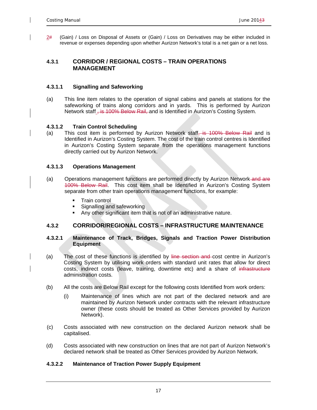2# (Gain) / Loss on Disposal of Assets or (Gain) / Loss on Derivatives may be either included in revenue or expenses depending upon whether Aurizon Network's total is a net gain or a net loss.

#### **4.3.1 CORRIDOR / REGIONAL COSTS – TRAIN OPERATIONS MANAGEMENT**

#### **4.3.1.1 Signalling and Safeworking**

(a) This line item relates to the operation of signal cabins and panels at stations for the safeworking of trains along corridors and in yards. This is performed by Aurizon Network staff  $+$  is 100% Below Rail, and is Identified in Aurizon's Costing System.

#### **4.3.1.2 Train Control Scheduling**

(a) This cost item is performed by Aurizon Network staff, is  $100\%$  Below Rail and is Identified in Aurizon's Costing System. The cost of the train control centres is Identified in Aurizon's Costing System separate from the operations management functions directly carried out by Aurizon Network.

#### **4.3.1.3 Operations Management**

- (a) Operations management functions are performed directly by Aurizon Network and are 100% Below Rail. This cost item shall be Identified in Aurizon's Costing System separate from other train operations management functions, for example:
	- **Train control**
	- **Signalling and safeworking**
	- Any other significant item that is not of an administrative nature.

#### **4.3.2 CORRIDOR/REGIONAL COSTS – INFRASTRUCTURE MAINTENANCE**

#### **4.3.2.1 Maintenance of Track, Bridges, Signals and Traction Power Distribution Equipment**

- (a) The cost of these functions is identified by line section and cost centre in Aurizon's Costing System by utilising work orders with standard unit rates that allow for direct costs, indirect costs (leave, training, downtime etc) and a share of infrastructure administration costs.
- (b) All the costs are Below Rail except for the following costs Identified from work orders:
	- (i) Maintenance of lines which are not part of the declared network and are maintained by Aurizon Network under contracts with the relevant infrastructure owner (these costs should be treated as Other Services provided by Aurizon Network).
- (c) Costs associated with new construction on the declared Aurizon network shall be capitalised.
- (d) Costs associated with new construction on lines that are not part of Aurizon Network's declared network shall be treated as Other Services provided by Aurizon Network.

#### **4.3.2.2 Maintenance of Traction Power Supply Equipment**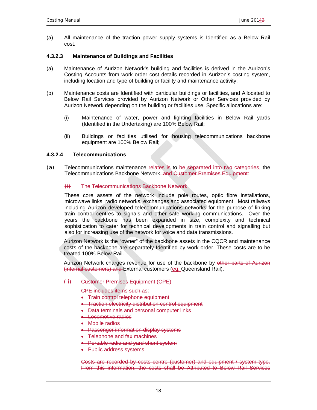(a) All maintenance of the traction power supply systems is Identified as a Below Rail cost.

#### **4.3.2.3 Maintenance of Buildings and Facilities**

- (a) Maintenance of Aurizon Network's building and facilities is derived in the Aurizon's Costing Accounts from work order cost details recorded in Aurizon's costing system, including location and type of building or facility and maintenance activity.
- (b) Maintenance costs are Identified with particular buildings or facilities, and Allocated to Below Rail Services provided by Aurizon Network or Other Services provided by Aurizon Network depending on the building or facilities use. Specific allocations are:
	- (i) Maintenance of water, power and lighting facilities in Below Rail yards (Identified in the Undertaking) are 100% Below Rail;
	- (ii) Buildings or facilities utilised for housing telecommunications backbone equipment are 100% Below Rail;

#### **4.3.2.4 Telecommunications**

(a) Telecommunications maintenance relates is to be separated into two categories, the Telecommunications Backbone Network. and Customer Premises Equipment:

#### (i) The Telecommunications Backbone Network

These core assets of the network include pole routes, optic fibre installations, microwave links, radio networks, exchanges and associated equipment. Most railways including Aurizon developed telecommunications networks for the purpose of linking train control centres to signals and other safe working communications. Over the years the backbone has been expanded in size, complexity and technical sophistication to cater for technical developments in train control and signalling but also for increasing use of the network for voice and data transmissions.

Aurizon Network is the "owner" of the backbone assets in the CQCR and maintenance costs of the backbone are separately Identified by work order. These costs are to be treated 100% Below Rail.

Aurizon Network charges revenue for use of the backbone by other parts of Aurizon (internal customers) and External customers (eg. Queensland Rail).

#### (ii) Customer Premises Equipment (CPE)

CPE includes items such as:

- **Train control telephone equipment**
- **-** Traction electricity distribution control equipment
- Data terminals and personal computer links
- **Locomotive radios**
- Mobile radios
- **Passenger information display systems**
- **•** Telephone and fax machines
- **Portable radio and vard shunt system**
- Public address systems

Costs are recorded by costs centre (customer) and equipment / system type. From this information, the costs shall be Attributed to Below Rail Services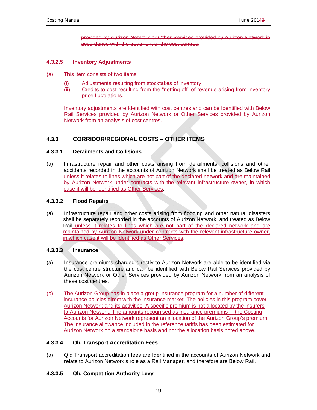provided by Aurizon Network or Other Services provided by Aurizon Network in accordance with the treatment of the cost centres.

#### **4.3.2.5 Inventory Adjustments**

- This item consists of two items:
	- Adjustments resulting from stocktakes of inventory;
	- (ii) Credits to cost resulting from the "netting off" of revenue arising from inventory price fluctuations.

Inventory adjustments are Identified with cost centres and can be Identified with Below Rail Services provided by Aurizon Network or Other Services provided by Aurizon Network from an analysis of cost centres.

#### **4.3.3 CORRIDOR/REGIONAL COSTS – OTHER ITEMS**

#### **4.3.3.1 Derailments and Collisions**

(a) Infrastructure repair and other costs arising from derailments, collisions and other accidents recorded in the accounts of Aurizon Network shall be treated as Below Rail unless it relates to lines which are not part of the declared network and are maintained by Aurizon Network under contracts with the relevant infrastructure owner, in which case it will be Identified as Other Services.

#### **4.3.3.2 Flood Repairs**

(a) Infrastructure repair and other costs arising from flooding and other natural disasters shall be separately recorded in the accounts of Aurizon Network, and treated as Below Rail unless it relates to lines which are not part of the declared network and are maintained by Aurizon Network under contracts with the relevant infrastructure owner, in which case it will be Identified as Other Services.

#### **4.3.3.3 Insurance**

- (a) Insurance premiums charged directly to Aurizon Network are able to be identified via the cost centre structure and can be identified with Below Rail Services provided by Aurizon Network or Other Services provided by Aurizon Network from an analysis of these cost centres.
- (b) The Aurizon Group has in place a group insurance program for a number of different insurance policies direct with the insurance market. The policies in this program cover Aurizon Network and its activities. A specific premium is not allocated by the insurers to Aurizon Network. The amounts recognised as insurance premiums in the Costing Accounts for Aurizon Network represent an allocation of the Aurizon Group's premium. The insurance allowance included in the reference tariffs has been estimated for Aurizon Network on a standalone basis and not the allocation basis noted above.

#### **4.3.3.4 Qld Transport Accreditation Fees**

(a) Qld Transport accreditation fees are Identified in the accounts of Aurizon Network and relate to Aurizon Network's role as a Rail Manager, and therefore are Below Rail.

#### **4.3.3.5 Qld Competition Authority Levy**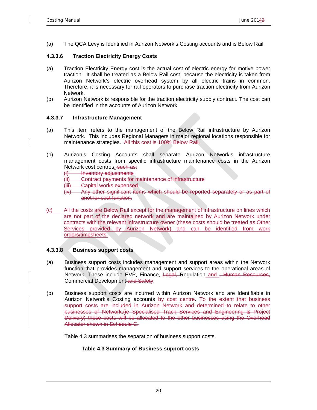(a) The QCA Levy is Identified in Aurizon Network's Costing accounts and is Below Rail.

#### **4.3.3.6 Traction Electricity Energy Costs**

- (a) Traction Electricity Energy cost is the actual cost of electric energy for motive power traction. It shall be treated as a Below Rail cost, because the electricity is taken from Aurizon Network's electric overhead system by all electric trains in common. Therefore, it is necessary for rail operators to purchase traction electricity from Aurizon Network.
- (b) Aurizon Network is responsible for the traction electricity supply contract. The cost can be Identified in the accounts of Aurizon Network.

#### **4.3.3.7 Infrastructure Management**

- (a) This item refers to the management of the Below Rail infrastructure by Aurizon Network. This includes Regional Managers in major regional locations responsible for maintenance strategies. All this cost is 100% Below Rail.
- (b) Aurizon's Costing Accounts shall separate Aurizon Network's infrastructure management costs from specific infrastructure maintenance costs in the Aurizon Network cost centres. such as:

(i) Inventory adjustments

- (ii) Contract payments for maintenance of infrastructure
- (iii) Capital works expensed
- (iv) Any other significant items which should be reported separately or as part of another cost function.
- (c) All the costs are Below Rail except for the management of infrastructure on lines which are not part of the declared network and are maintained by Aurizon Network under contracts with the relevant infrastructure owner (these costs should be treated as Other Services provided by Aurizon Network) and can be identified from work orders/timesheets.

#### **4.3.3.8 Business support costs**

- (a) Business support costs includes management and support areas within the Network function that provides management and support services to the operational areas of Network. These include EVP, Finance, Legal, Regulation and <del>, Human Resources,</del> Commercial Development and Safety.
- (b) Business support costs are incurred within Aurizon Network and are Identifiable in Aurizon Network's Costing accounts by cost centre. To the extent that business support costs are included in Aurizon Network and determined to relate to other businesses of Network,(ie Specialised Track Services and Engineering & Project Delivery) these costs will be allocated to the other businesses using the Overhead Allocator shown in Schedule C.

Table 4.3 summarises the separation of business support costs.

#### **Table 4.3 Summary of Business support costs**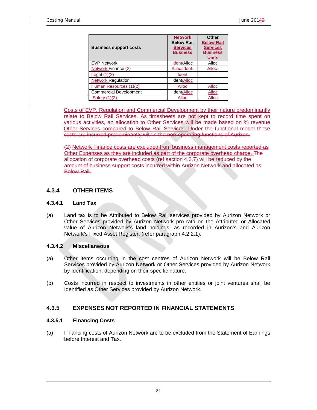| <b>Business support costs</b>          | <b>Network</b><br><b>Below Rail</b><br><b>Services</b><br><b>Business</b> | Other<br><b>Below Rail</b><br><b>Services</b><br>Business<br>Units |
|----------------------------------------|---------------------------------------------------------------------------|--------------------------------------------------------------------|
| <b>EVP Network</b>                     | Ident/Alloc                                                               | Alloc                                                              |
| Network Finance (2)                    | Allee-Ident-                                                              | Alloe-                                                             |
| Legal (1)(2)                           | <b>Ident</b>                                                              |                                                                    |
| <b>Network Regulation</b>              | Ident/Alloc                                                               |                                                                    |
| Human Resources (1)(2)                 | Alloc                                                                     | Alloc                                                              |
| <b>Commercial Development</b>          | Ident/Alloc                                                               | Alloc                                                              |
| $C0 f0 f1 (1)(2)$<br><del>odiciv</del> | Allee                                                                     | Allee                                                              |

Costs of EVP, Regulation and Commercial Development by their nature predominantly relate to Below Rail Services. As timesheets are not kept to record time spent on various activities, an allocation to Other Services will be made based on % revenue Other Services compared to Below Rail Services. Under the functional model these costs are incurred predominantly within the non-operating functions of Aurizon.

(2) Network Finance costs are excluded from business management costs reported as Other Expenses as they are included as part of the corporate overhead charge. The allocation of corporate overhead costs (ref section 4.3.7) will be reduced by the amount of business support costs incurred within Aurizon Network and allocated as Below Rail.

#### **4.3.4 OTHER ITEMS**

#### **4.3.4.1 Land Tax**

(a) Land tax is to be Attributed to Below Rail services provided by Aurizon Network or Other Services provided by Aurizon Network pro rata on the Attributed or Allocated value of Aurizon Network's land holdings, as recorded in Aurizon's and Aurizon Network's Fixed Asset Register, (refer paragraph 4.2.2.1).

#### **4.3.4.2 Miscellaneous**

- (a) Other items occurring in the cost centres of Aurizon Network will be Below Rail Services provided by Aurizon Network or Other Services provided by Aurizon Network by Identification, depending on their specific nature.
- (b) Costs incurred in respect to investments in other entities or joint ventures shall be Identified as Other Services provided by Aurizon Network.

#### **4.3.5 EXPENSES NOT REPORTED IN FINANCIAL STATEMENTS**

#### **4.3.5.1 Financing Costs**

(a) Financing costs of Aurizon Network are to be excluded from the Statement of Earnings before Interest and Tax.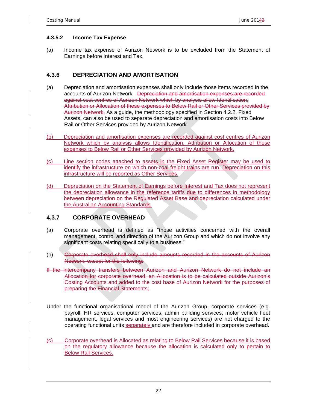#### **4.3.5.2 Income Tax Expense**

(a) Income tax expense of Aurizon Network is to be excluded from the Statement of Earnings before Interest and Tax.

#### **4.3.6 DEPRECIATION AND AMORTISATION**

- (a) Depreciation and amortisation expenses shall only include those items recorded in the accounts of Aurizon Network. Depreciation and amortisation expenses are recorded against cost centres of Aurizon Network which by analysis allow Identification, Attribution or Allocation of these expenses to Below Rail or Other Services provided by Aurizon Network. As a guide, the methodology specified in Section 4.2.2, Fixed Assets, can also be used to separate depreciation and amortisation costs into Below Rail or Other Services provided by Aurizon Network.
- (b) Depreciation and amortisation expenses are recorded against cost centres of Aurizon Network which by analysis allows Identification, Attribution or Allocation of these expenses to Below Rail or Other Services provided by Aurizon Network.
- (c) Line section codes attached to assets in the Fixed Asset Register may be used to identify the infrastructure on which non-coal freight trains are run. Depreciation on this infrastructure will be reported as Other Services.
- (d) Depreciation on the Statement of Earnings before Interest and Tax does not represent the depreciation allowance in the reference tariffs due to differences in methodology between depreciation on the Regulated Asset Base and depreciation calculated under the Australian Accounting Standards.

#### **4.3.7 CORPORATE OVERHEAD**

- (a) Corporate overhead is defined as "those activities concerned with the overall management, control and direction of the Aurizon Group and which do not involve any significant costs relating specifically to a business."
- (b) Corporate overhead shall only include amounts recorded in the accounts of Aurizon Network, except for the following:
- If the intercompany transfers between Aurizon and Aurizon Network do not include an Allocation for corporate overhead, an Allocation is to be calculated outside Aurizon's Costing Accounts and added to the cost base of Aurizon Network for the purposes of preparing the Financial Statements;
- Under the functional organisational model of the Aurizon Group, corporate services (e.g. payroll, HR services, computer services, admin building services, motor vehicle fleet management, legal services and most engineering services) are not charged to the operating functional units separately and are therefore included in corporate overhead.
- (c) Corporate overhead is Allocated as relating to Below Rail Services because it is based on the regulatory allowance because the allocation is calculated only to pertain to Below Rail Services.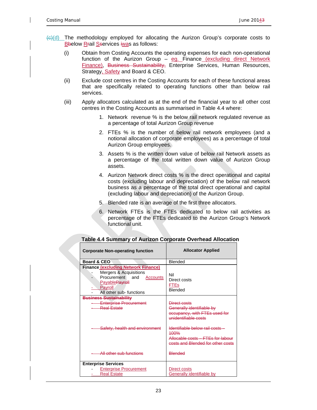- $\left\langle \Theta | d \right\rangle$  The methodology employed for allocating the Aurizon Group's corporate costs to Bbelow Rrail Sservices iwas as follows:
	- (i) Obtain from Costing Accounts the operating expenses for each non-operational function of the Aurizon Group  $-$  eg. Finance (excluding direct Network Finance), Business Sustainability, Enterprise Services, Human Resources, Strategy, Safety and Board & CEO.
	- (ii) Exclude cost centres in the Costing Accounts for each of these functional areas that are specifically related to operating functions other than below rail services.
	- (iii) Apply allocators calculated as at the end of the financial year to all other cost centres in the Costing Accounts as summarised in Table 4.4 where:
		- 1. Network revenue % is the below rail network regulated revenue as a percentage of total Aurizon Group revenue
		- 2. FTEs % is the number of below rail network employees (and a notional allocation of corporate employees) as a percentage of total Aurizon Group employees.
		- 3. Assets % is the written down value of below rail Network assets as a percentage of the total written down value of Aurizon Group assets.
		- 4. Aurizon Network direct costs % is the direct operational and capital costs (excluding labour and depreciation) of the below rail network business as a percentage of the total direct operational and capital (excluding labour and depreciation) of the Aurizon Group.
		- 5. Blended rate is an average of the first three allocators.
		- 6. Network FTEs is the FTEs dedicated to below rail activities as percentage of the FTEs dedicated to the Aurizon Group's Network functional unit.

| <b>Corporate Non-operating function</b>                                                                                                                              | <b>Allocator Applied</b>                                                                                                      |  |  |
|----------------------------------------------------------------------------------------------------------------------------------------------------------------------|-------------------------------------------------------------------------------------------------------------------------------|--|--|
| Board & CEO                                                                                                                                                          | Blended                                                                                                                       |  |  |
| <b>Finance (excluding Network Finance)</b><br>Mergers & Acquisitions<br>Procurement and<br>Accounts<br><b>Payable Payrell</b><br>Payroll<br>All other sub- functions | Nil<br>Direct costs<br><b>FTEs</b><br>Blended                                                                                 |  |  |
| <b>Business Sustainability</b><br><b>Enterprise Procurement</b><br><b>Real Estate</b>                                                                                | Direct costs<br>Generally identifiable by<br>occupancy, with FTEs used for<br>unidentifiable costs                            |  |  |
| Safety, health and environment                                                                                                                                       | Identifiable below rail costs -<br>100 <sub>%</sub><br>Allocable costs – FTEs for labour<br>costs and Blended for other costs |  |  |
| All other sub functions                                                                                                                                              | <b>Blended</b>                                                                                                                |  |  |
| <b>Enterprise Services</b>                                                                                                                                           |                                                                                                                               |  |  |
| <b>Enterprise Procurement</b><br><b>Real Estate</b>                                                                                                                  | Direct costs<br><b>Generally identifiable by</b>                                                                              |  |  |

### **Table 4.4 Summary of Aurizon Corporate Overhead Allocation**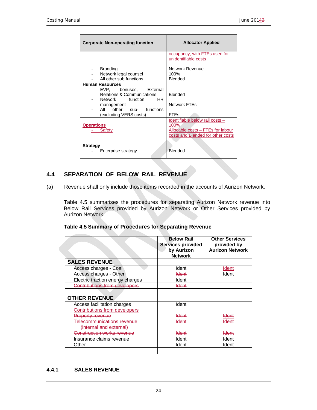| <b>Corporate Non-operating function</b>                                                                                                                                                  | <b>Allocator Applied</b>                                                                                          |
|------------------------------------------------------------------------------------------------------------------------------------------------------------------------------------------|-------------------------------------------------------------------------------------------------------------------|
|                                                                                                                                                                                          | occupancy, with FTEs used for<br>unidentifiable costs                                                             |
| <b>Branding</b><br>Network legal counsel<br>All other sub functions                                                                                                                      | Network Revenue<br>100%<br>Blended                                                                                |
| <b>Human Resources</b><br>EVP, bonuses, External<br><b>Relations &amp; Communications</b><br>HR.<br>Network function<br>management<br>All other sub- functions<br>(excluding VERS costs) | <b>Blended</b><br>Network FTFs<br><b>FTEs</b>                                                                     |
| <b>Operations</b><br>Safety                                                                                                                                                              | Identifiable below rail costs -<br>100%<br>Allocable costs - FTEs for labour<br>costs and Blended for other costs |
| <b>Strategy</b><br>Enterprise strategy                                                                                                                                                   | Blended                                                                                                           |

### **4.4 SEPARATION OF BELOW RAIL REVENUE**

(a) Revenue shall only include those items recorded in the accounts of Aurizon Network.

Table 4.5 summarises the procedures for separating Aurizon Network revenue into Below Rail Services provided by Aurizon Network or Other Services provided by Aurizon Network.

|  |  | Table 4.5 Summary of Procedures for Separating Revenue |
|--|--|--------------------------------------------------------|
|--|--|--------------------------------------------------------|

|                                                                     | <b>Below Rail</b><br><b>Services provided</b><br>by Aurizon<br><b>Network</b> | <b>Other Services</b><br>provided by<br><b>Aurizon Network</b> |
|---------------------------------------------------------------------|-------------------------------------------------------------------------------|----------------------------------------------------------------|
| <b>SALES REVENUE</b>                                                |                                                                               |                                                                |
| Access charges - Coal                                               | Ident                                                                         | Ident                                                          |
| Access charges - Other                                              | <del>Ident</del>                                                              | Ident                                                          |
| Electric traction energy charges                                    | Ident                                                                         |                                                                |
| <b>Contributions from developers</b>                                | ldent                                                                         |                                                                |
|                                                                     |                                                                               |                                                                |
| <b>OTHER REVENUE</b>                                                |                                                                               |                                                                |
| Access facilitation charges<br><b>Contributions from developers</b> | Ident                                                                         |                                                                |
| <b>Property revenue</b>                                             | <del>Ident</del>                                                              | <del>Ident</del>                                               |
| <del>Telecommunications revenue</del><br>(internal and external)    | <b>Ident</b>                                                                  | <del>ldent</del>                                               |
| Construction works revenue                                          | <b>Ident</b>                                                                  | <del>ldent</del>                                               |
| Insurance claims revenue                                            | Ident                                                                         | Ident                                                          |
| Other                                                               | Ident                                                                         | Ident                                                          |
|                                                                     |                                                                               |                                                                |

#### **4.4.1 SALES REVENUE**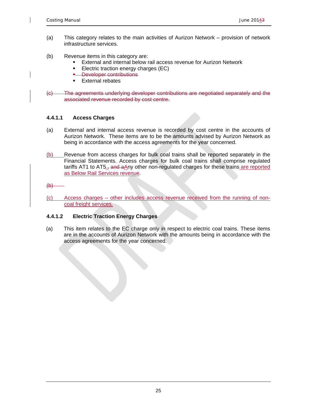- (a) This category relates to the main activities of Aurizon Network provision of network infrastructure services.
- (b) Revenue items in this category are:
	- **External and internal below rail access revenue for Aurizon Network**
	- **Electric traction energy charges (EC)**
	- **-** Developer contributions
	- **External rebates**
- (c) The agreements underlying developer contributions are negotiated separately and the associated revenue recorded by cost centre.

#### **4.4.1.1 Access Charges**

- (a) External and internal access revenue is recorded by cost centre in the accounts of Aurizon Network. These items are to be the amounts advised by Aurizon Network as being in accordance with the access agreements for the year concerned.
- (b) Revenue from access charges for bulk coal trains shall be reported separately in the Financial Statements. Access charges for bulk coal trains shall comprise regulated tariffs AT1 to AT5 $_{.5}$  and aAny other non-regulated charges for these trains are reported as Below Rail Services revenue.

 $\Theta$ 

(c) Access charges – other includes access revenue received from the running of noncoal freight services.

#### **4.4.1.2 Electric Traction Energy Charges**

(a) This item relates to the EC charge only in respect to electric coal trains. These items are in the accounts of Aurizon Network with the amounts being in accordance with the access agreements for the year concerned.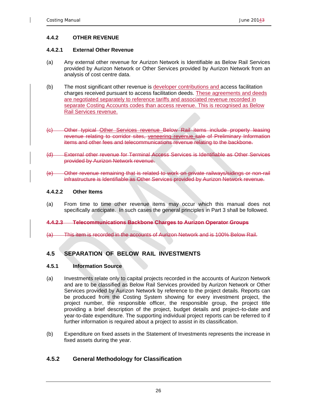#### **4.4.2 OTHER REVENUE**

#### **4.4.2.1 External Other Revenue**

- (a) Any external other revenue for Aurizon Network is Identifiable as Below Rail Services provided by Aurizon Network or Other Services provided by Aurizon Network from an analysis of cost centre data.
- (b) The most significant other revenue is developer contributions and access facilitation charges received pursuant to access facilitation deeds. These agreements and deeds are negotiated separately to reference tariffs and associated revenue recorded in separate Costing Accounts codes than access revenue. This is recognised as Below Rail Services revenue.
- (c) Other typical Other Services revenue Below Rail items include property leasing revenue relating to corridor sites, veneering revenue sale of Preliminary Information items and other fees and telecommunications revenue relating to the backbone.
- (d) External other revenue for Terminal Access Services is Identifiable as Other Services provided by Aurizon Network revenue.
- (e) Other revenue remaining that is related to work on private railways/sidings or non-rail infrastructure is Identifiable as Other Services provided by Aurizon Network revenue.

#### **4.4.2.2 Other Items**

(a) From time to time other revenue items may occur which this manual does not specifically anticipate. In such cases the general principles in Part 3 shall be followed.

#### **4.4.2.3 Telecommunications Backbone Charges to Aurizon Operator Groups**

(a) This item is recorded in the accounts of Aurizon Network and is 100% Below Rail.

### **4.5 SEPARATION OF BELOW RAIL INVESTMENTS**

#### **4.5.1 Information Source**

- (a) Investments relate only to capital projects recorded in the accounts of Aurizon Network and are to be classified as Below Rail Services provided by Aurizon Network or Other Services provided by Aurizon Network by reference to the project details. Reports can be produced from the Costing System showing for every investment project, the project number, the responsible officer, the responsible group, the project title providing a brief description of the project, budget details and project–to-date and year-to-date expenditure. The supporting individual project reports can be referred to if further information is required about a project to assist in its classification.
- (b) Expenditure on fixed assets in the Statement of Investments represents the increase in fixed assets during the year.

#### **4.5.2 General Methodology for Classification**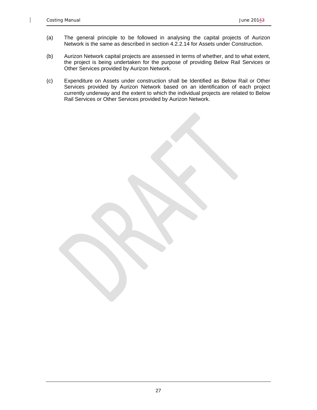$\mathsf{I}$ 

- (a) The general principle to be followed in analysing the capital projects of Aurizon Network is the same as described in section 4.2.2.14 for Assets under Construction.
- (b) Aurizon Network capital projects are assessed in terms of whether, and to what extent, the project is being undertaken for the purpose of providing Below Rail Services or Other Services provided by Aurizon Network.
- (c) Expenditure on Assets under construction shall be Identified as Below Rail or Other Services provided by Aurizon Network based on an identification of each project currently underway and the extent to which the individual projects are related to Below Rail Services or Other Services provided by Aurizon Network.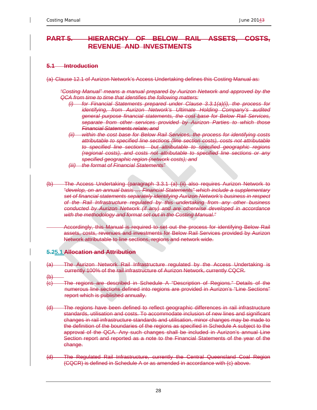# **PART 5. HIERARCHY OF BELOW RAIL ASSETS, COSTS, REVENUE AND INVESTMENTS**

#### **5.1 Introduction**

(a) Clause 12.1 of Aurizon Network's Access Undertaking defines this Costing Manual as:

*"Costing Manual" means a manual prepared by Aurizon Network and approved by the QCA from time to time that identifies the following matters:* 

- *(i) for Financial Statements prepared under Clause 3.3.1(a)(i), the process for identifying, from Aurizon Network's Ultimate Holding Company's audited general purpose financial statements, the cost base for Below Rail Services, separate from other services provided by Aurizon Parties to which those Financial Statements relate; and*
- *(ii) within the cost base for Below Rail Services, the process for identifying costs attributable to specified line sections (line section costs), costs not attributable to specified line sections but attributable to specified geographic regions (regional costs), and costs not attributable to specified line sections or any specified geographic region (network costs); and*
- *(iii) the format of Financial Statements"*
- (b) The Access Undertaking (paragraph 3.3.1 (a) (ii) also requires Aurizon Network to "*develop, on an annual basis … Financial Statements" which include a supplementary set of financial statements separately identifying Aurizon Network's business in respect of the Rail Infrastructure regulated by this undertaking from any other business conducted by Aurizon Network (if any) and are otherwise developed in accordance with the methodology and format set out in the Costing Manual."*

 Accordingly, this Manual is required to set out the process for identifying Below Rail assets, costs, revenues and investments for Below Rail Services provided by Aurizon Network attributable to line sections, regions and network wide.

### **5.25.1 Allocation and Attribution**

- (a) The Aurizon Network Rail Infrastructure regulated by the Access Undertaking is currently 100% of the rail infrastructure of Aurizon Network, currently CQCR.
- $\bigoplus$
- (c) The regions are described in Schedule A "Description of Regions." Details of the numerous line sections defined into regions are provided in Aurizon's "Line Sections" report which is published annually.
- (d) The regions have been defined to reflect geographic differences in rail infrastructure standards, utilisation and costs. To accommodate inclusion of new lines and significant changes in rail infrastructure standards and utilisation, minor changes may be made to the definition of the boundaries of the regions as specified in Schedule A subject to the approval of the QCA. Any such changes shall be included in Aurizon's annual Line Section report and reported as a note to the Financial Statements of the year of the change.
- (d) The Regulated Rail Infrastructure, currently the Central Queensland Coal Region (CQCR) is defined in Schedule A or as amended in accordance with (c) above.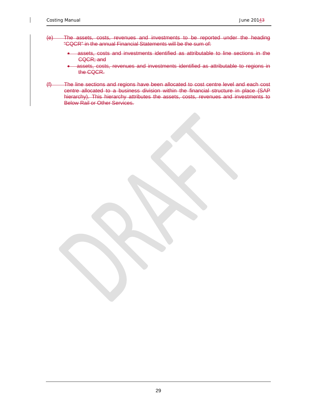- (e) The assets, costs, revenues and investments to be reported under the heading "CQCR" in the annual Financial Statements will be the sum of:
	- assets, costs and investments identified as attributable to line sections in the CQCR; and
	- assets, costs, revenues and investments identified as attributable to regions in the CQCR.
- (f) The line sections and regions have been allocated to cost centre level and each cost centre allocated to a business division within the financial structure in place (SAP hierarchy). This hierarchy attributes the assets, costs, revenues and investments to Below Rail or Other Services.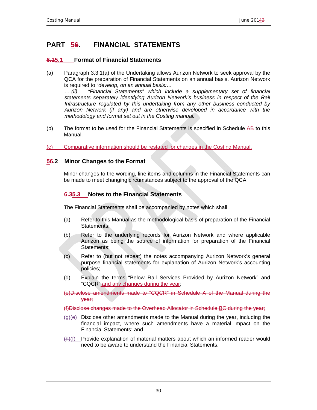# **PART 56. FINANCIAL STATEMENTS**

### **6.15.1 Format of Financial Statements**

(a) Paragraph 3.3.1(a) of the Undertaking allows Aurizon Network to seek approval by the QCA for the preparation of Financial Statements on an annual basis. Aurizon Network is required to "*develop, on an annual basis:…* 

*… (ii) "Financial Statements" which include a supplementary set of financial statements separately identifying Aurizon Network's business in respect of the Rail Infrastructure regulated by this undertaking from any other business conducted by Aurizon Network (if any) and are otherwise developed in accordance with the methodology and format set out in the Costing manual.*

- (b) The format to be used for the Financial Statements is specified in Schedule AB to this Manual.
- (c) Comparative information should be restated for changes in the Costing Manual.

### **56.2 Minor Changes to the Format**

Minor changes to the wording, line items and columns in the Financial Statements can be made to meet changing circumstances subject to the approval of the QCA.

### **6.35.3 Notes to the Financial Statements**

The Financial Statements shall be accompanied by notes which shall:

- (a) Refer to this Manual as the methodological basis of preparation of the Financial Statements;
- (b) Refer to the underlying records for Aurizon Network and where applicable Aurizon as being the source of information for preparation of the Financial Statements;
- (c) Refer to (but not repeat) the notes accompanying Aurizon Network's general purpose financial statements for explanation of Aurizon Network's accounting policies;
- (d) Explain the terms "Below Rail Services Provided by Aurizon Network" and "CQCR" and any changes during the year;
- (e)Disclose amendments made to "CQCR" in Schedule A of the Manual during the year;

(f)Disclose changes made to the Overhead Allocator in Schedule BC during the year;

- $(g)(e)$  Disclose other amendments made to the Manual during the year, including the financial impact, where such amendments have a material impact on the Financial Statements; and
- (h)(f) Provide explanation of material matters about which an informed reader would need to be aware to understand the Financial Statements.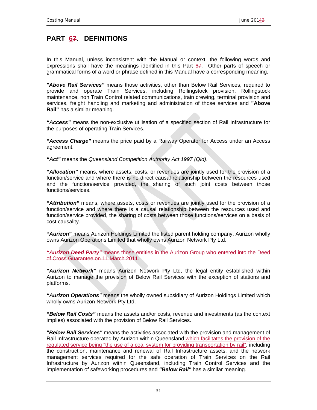# **PART 67. DEFINITIONS**

In this Manual, unless inconsistent with the Manual or context, the following words and expressions shall have the meanings identified in this Part  $67$ . Other parts of speech or grammatical forms of a word or phrase defined in this Manual have a corresponding meaning.

*"Above Rail Services"* means those activities, other than Below Rail Services, required to provide and operate Train Services, including Rollingstock provision, Rollingstock maintenance, non Train Control related communications, train crewing, terminal provision and services, freight handling and marketing and administration of those services and **"Above Rail"** has a similar meaning.

*"Access"* means the non-exclusive utilisation of a specified section of Rail Infrastructure for the purposes of operating Train Services.

*"Access Charge"* means the price paid by a Railway Operator for Access under an Access agreement.

*"Act"* means the *Queensland Competition Authority Act 1997 (Qld)*.

*"Allocation"* means, where assets, costs, or revenues are jointly used for the provision of a function/service and where there is no direct causal relationship between the resources used and the function/service provided, the sharing of such joint costs between those functions/services.

*"Attribution"* means, where assets, costs or revenues are jointly used for the provision of a function/service and where there is a causal relationship between the resources used and function/service provided, the sharing of costs between those functions/services on a basis of cost causality.

**"***Aurizon***"** means Aurizon Holdings Limited the listed parent holding company. Aurizon wholly owns Aurizon Operations Limited that wholly owns Aurizon Network Pty Ltd.

*"Aurizon Deed Party"* means those entities in the Aurizon Group who entered into the Deed of Cross Guarantee on 11 March 2011.

*"Aurizon Network"* means Aurizon Network Pty Ltd, the legal entity established within Aurizon to manage the provision of Below Rail Services with the exception of stations and platforms.

*"Aurizon Operations"* means the wholly owned subsidiary of Aurizon Holdings Limited which wholly owns Aurizon Network Pty Ltd.

*"Below Rail Costs"* means the assets and/or costs, revenue and investments (as the context implies) associated with the provision of Below Rail Services.

*"Below Rail Services"* means the activities associated with the provision and management of Rail Infrastructure operated by Aurizon within Queensland which facilitates the provision of the regulated service being "the use of a coal system for providing transportation by rail", including the construction, maintenance and renewal of Rail Infrastructure assets, and the network management services required for the safe operation of Train Services on the Rail Infrastructure by Aurizon within Queensland, including Train Control Services and the implementation of safeworking procedures and *"Below Rail"* has a similar meaning.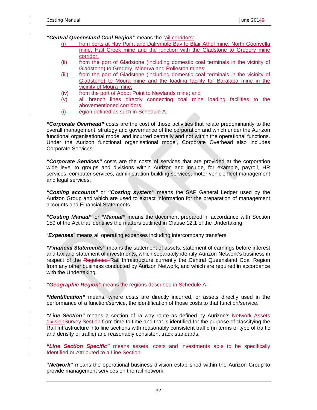*"Central Queensland Coal Region"* means the rail corridors:

- (i) from ports at Hay Point and Dalrymple Bay to Blair Athol mine, North Goonyella mine, Hail Creek mine and the junction with the Gladstone to Gregory mine corridor;
- (ii) from the port of Gladstone (including domestic coal terminals in the vicinity of Gladstone) to Gregory, Minerva and Rolleston mines;
- (iii) from the port of Gladstone (including domestic coal terminals in the vicinity of Gladstone) to Moura mine and the loading facility for Baralaba mine in the vicinity of Moura mine;
- (iv) from the port of Abbot Point to Newlands mine; and
- (v) all branch lines directly connecting coal mine loading facilities to the abovementioned corridors.
- (i) egion defined as such in Schedule A.

*"Corporate Overhead"* costs are the cost of those activities that relate predominantly to the overall management, strategy and governance of the corporation and which under the Aurizon functional organisational model and incurred centrally and not within the operational functions. Under the Aurizon functional organisational model, Corporate Overhead also includes Corporate Services.

*"Corporate Services"* costs are the costs of services that are provided at the corporation wide level to groups and divisions within Aurizon and include, for example, payroll, HR services, computer services, administration building services, motor vehicle fleet management and legal services.

*"Costing accounts"* or *"Costing system"* means the SAP General Ledger used by the Aurizon Group and which are used to extract information for the preparation of management accounts and Financial Statements.

*"Costing Manual"* or *"Manual"* means the document prepared in accordance with Section 159 of the Act that identifies the matters outlined in Clause 12.1 of the Undertaking.

"*Expenses*" means all operating expenses including intercompany transfers.

*"Financial Statements"* means the statement of assets, statement of earnings before interest and tax and statement of investments, which separately identify Aurizon Network's business in respect of the Regulated Rail Infrastructure currently the Central Queensland Coal Region from any other business conducted by Aurizon Network, and which are required in accordance with the Undertaking.

*"Geographic Region"* means the regions described in Schedule A.

*"Identification"* means, where costs are directly incurred, or assets directly used in the performance of a function/service, the identification of those costs to that function/service.

*"Line Section"* means a section of railway route as defined by Aurizon's Network Assets divisionSurvey Section from time to time and that is identified for the purpose of classifying the Rail Infrastructure into line sections with reasonably consistent traffic (in terms of type of traffic and density of traffic) and reasonably consistent track standards.

*"Line Section Specific"* means assets, costs and investments able to be specifically Identified or Attributed to a Line Section.

**"***Network***"** means the operational business division established within the Aurizon Group to provide management services on the rail network.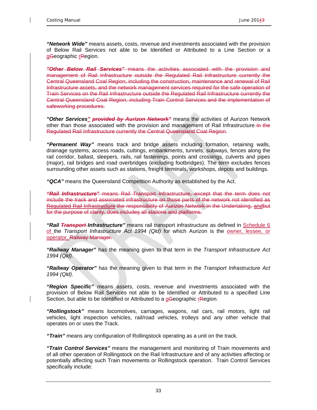*"Network Wide"* means assets, costs, revenue and investments associated with the provision of Below Rail Services not able to be Identified or Attributed to a Line Section or a gGeographic rRegion.

*"Other Below Rail Services"* means the activities associated with the provision and management of Rail Infrastructure outside the Regulated Rail Infrastructure currently the Central Queensland Coal Region, including the construction, maintenance and renewal of Rail Infrastructure assets, and the network management services required for the safe operation of Train Services on the Rail Infrastructure outside the Regulated Rail Infrastructure currently the Central Queensland Coal Region, including Train Control Services and the implementation of safeworking procedures.

*"Other Services" provided by Aurizon Network"* means the activities of Aurizon Network other than those associated with the provision and management of Rail Infrastructure-in the Regulated Rail Infrastructure currently the Central Queensland Coal Region.

*"Permanent Way"* means track and bridge assets including formation, retaining walls, drainage systems, access roads, cuttings, embankments, tunnels, subways, fences along the rail corridor, ballast, sleepers, rails, rail fastenings, points and crossings, culverts and pipes (major), rail bridges and road overbridges (excluding footbridges). The term excludes fences surrounding other assets such as stations, freight terminals, workshops, depots and buildings.

*"QCA"* means the Queensland Competition Authority as established by the Act.

*"Rail Infrastructure"* means Rail Transport Infrastructure, except that the term does not include the track and associated infrastructure on those parts of the network not identified as Regulated Rail Infrastructure the responsibility of Aurizon Network in the Undertaking, andbut for the purpose of clarity, does includes all stations and platforms.

*"Rail Transport Infrastructure"* means rail transport infrastructure as defined in Schedule 6 of the *Transport Infrastructure Act 1994 (Qld)* for which Aurizon is the owner, lessee, or operator. Railway Manager.

*"Railway Manager"* has the meaning given to that term in the *Transport Infrastructure Act 1994 (Qld)*.

*"Railway Operator"* has the meaning given to that term in the *Transport Infrastructure Act 1994 (Qld)*.

*"Region Specific"* means assets, costs, revenue and investments associated with the provision of Below Rail Services not able to be Identified or Attributed to a specified Line Section, but able to be Identified or Attributed to a gGeographic rRegion.

*"Rollingstock"* means locomotives, carriages, wagons, rail cars, rail motors, light rail vehicles, light inspection vehicles, rail/road vehicles, trolleys and any other vehicle that operates on or uses the Track.

*"Train"* means any configuration of Rollingstock operating as a unit on the track.

*"Train Control Services"* means the management and monitoring of Train movements and of all other operation of Rollingstock on the Rail Infrastructure and of any activities affecting or potentially affecting such Train movements or Rollingstock operation. Train Control Services specifically include: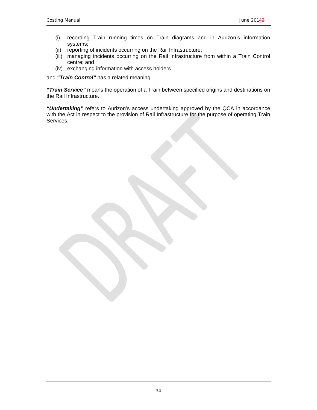- (i) recording Train running times on Train diagrams and in Aurizon's information systems;
- (ii) reporting of incidents occurring on the Rail Infrastructure;
- (iii) managing incidents occurring on the Rail Infrastructure from within a Train Control centre; and
- (iv) exchanging information with access holders

and *"Train Control"* has a related meaning.

*"Train Service"* means the operation of a Train between specified origins and destinations on the Rail Infrastructure.

*"Undertaking"* refers to Aurizon's access undertaking approved by the QCA in accordance with the Act in respect to the provision of Rail Infrastructure for the purpose of operating Train Services.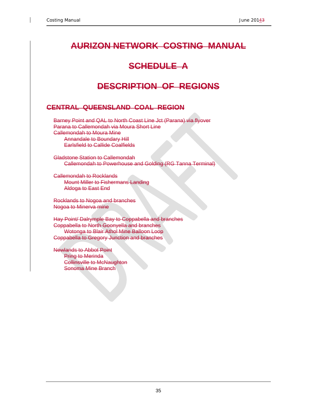# **AURIZON NETWORK COSTING MANUAL**

# **SCHEDULE A**

# **DESCRIPTION OF REGIONS**

# **CENTRAL QUEENSLAND COAL REGION**

Barney Point and QAL to North Coast Line Jct (Parana) via flyover Parana to Callemondah via Moura Short Line Callemondah to Moura Mine Annandale to Boundary Hill Earlsfield to Callide Coalfields

Gladstone Station to Callemondah Callemondah to Powerhouse and Golding (RG Tanna Terminal)

Callemondah to Rocklands Mount Miller to Fishermans Landing Aldoga to East End

Rocklands to Nogoa and branches Nogoa to Minerva mine

Hay Point/ Dalrymple Bay to Coppabella and branches Coppabella to North Goonyella and branches Wotonga to Blair Athol Mine Balloon Loop Coppabella to Gregory Junction and branches

Newlands to Abbot Point Pring to Merinda Collinsville to McNaughton Sonoma Mine Branch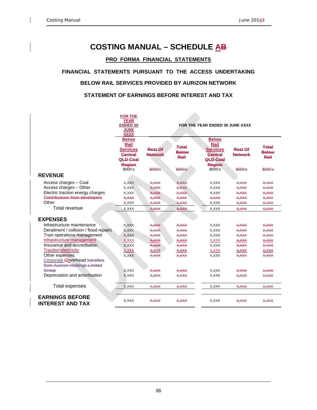# **COSTING MANUAL – SCHEDULE AB**

#### **PRO FORMA FINANCIAL STATEMENTS**

#### **FINANCIAL STATEMENTS PURSUANT TO THE ACCESS UNDERTAKING**

#### **BELOW RAIL SERVICES PROVIDED BY AURIZON NETWORK**

#### **STATEMENT OF EARNINGS BEFORE INTEREST AND TAX**

|                                        | <b>FOR THE</b>             |                |              |                                 |                |              |
|----------------------------------------|----------------------------|----------------|--------------|---------------------------------|----------------|--------------|
|                                        | <b>YEAR</b>                |                |              |                                 |                |              |
|                                        | <b>ENDED 30</b>            |                |              | FOR THE YEAR ENDED 30 JUNE XXXX |                |              |
|                                        | <b>JUNE</b><br><b>XXXX</b> |                |              |                                 |                |              |
|                                        | <b>Below</b>               |                |              | <b>Below</b>                    |                |              |
|                                        | Rail                       |                |              | Rail                            |                |              |
|                                        | <b>Services</b>            | <b>Rest Of</b> | <b>Total</b> | <b>Services</b>                 | <b>Rest Of</b> | <b>Total</b> |
|                                        | <b>Central</b>             | <b>Network</b> | <b>Below</b> | <b>Central</b>                  | <b>Network</b> | <b>Below</b> |
|                                        | <b>QLD Coal</b>            |                | Rail         | <b>QLD Coal</b>                 |                | Rail         |
|                                        | <b>Region</b>              |                |              | <b>Region</b>                   |                |              |
|                                        | \$000's                    | \$000's        | \$000's      | \$000's                         | \$000's        | \$000's      |
| <b>REVENUE</b>                         |                            |                |              |                                 |                |              |
| Access charges - Coal                  | X, XXX                     | X, XXX         | X, XXX       | X, XXX                          | X, XXX         | X, XXX       |
| Access charges - Other                 | X, XXX                     | <b>X,XXX</b>   | X, XXX       | X,XXX                           | X, XXX         | X, XXX       |
| Electric traction energy charges       | X, XXX                     | <b>X,XXX</b>   | <b>XXXXX</b> | X, XXX                          | X, X           | X, XXX       |
| <b>Contributions from developers</b>   | X, XXX                     | X, XXX         | X, XXX       | X, XXX                          | X, X           | X, XXX       |
| Other                                  | X, XXX                     | X, XXX         | X, XXX       | X, XXX                          | X, X           | X, XXX       |
| Total revenue                          | X, XXX                     | X, X           | X, XXX       | X, XXX                          | X, XXX         | X, XXX       |
|                                        |                            |                |              |                                 |                |              |
| <b>EXPENSES</b>                        |                            |                |              |                                 |                |              |
| Infrastructure maintenance             | X, XXX                     | <b>X,XXX</b>   | X, XXX       | X, XXX                          | X, XXX         | X, XXX       |
| Derailment / collision / flood repairs | X, XXX                     | X, XXX         | X, XXX       | X, XXX                          | X, XXX         | X, XXX       |
| Train operations management            | X, XXX                     | X, XXX         | X, XXX       | X, XXX                          | X, XXX         | X, XXX       |
| Infrastructure management              | X, XXX                     | X, XXX         | X, XXX       | X, XXX                          | <b>X, XXX</b>  | X, XXX       |
| Insurance and accreditation            | X, XXX                     | <b>X,XXX</b>   | X, XXX       | X, XXX                          | X, X           | X, XXX       |
| <b>Traction electricity</b>            | X, XXX                     | X, XXX         | X, XXX       | X, XXX                          | X, XXX         | X, XXX       |
| Other expenses                         | X, XXX                     | <b>X,XXX</b>   | X,XXX        | X, XXX                          | <b>X,XXX</b>   | X,XXX        |
| Corporate Ooverhead transfers          |                            |                |              |                                 |                |              |
| from Aurizon Holdings Limited          |                            |                |              |                                 |                |              |
| Group                                  | X, XXX                     | <b>X,XXX</b>   | X,XXX        | X, XXX                          | <b>X.XXX</b>   | X,XXX        |
| Depreciation and amortisation          | X, XXX                     | X, XXX         | X, XXX       | X, XXX                          | X, XXX         | X, XXX       |
|                                        |                            |                |              |                                 |                |              |
| Total expenses                         | X, XXX                     | X, XXX         | X, XXX       | X,XXX                           | X, XXX         | X, XXX       |
| <b>EARNINGS BEFORE</b>                 |                            |                |              |                                 |                |              |
| <b>INTEREST AND TAX</b>                | X, XXX                     | X, XXX         | X, XXX       | X, XXX                          | X, XXX         | X, XXX       |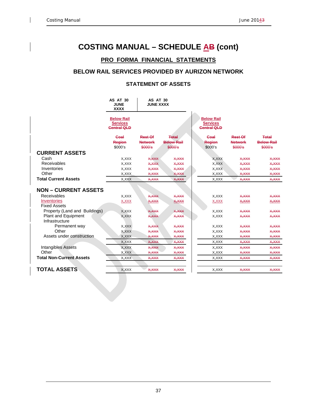# **COSTING MANUAL – SCHEDULE AB (cont)**

### **PRO FORMA FINANCIAL STATEMENTS**

### **BELOW RAIL SERVICES PROVIDED BY AURIZON NETWORK**

#### **STATEMENT OF ASSETS**

|                                       | <b>AS AT 30</b><br><b>JUNE</b><br><b>XXXX</b>              | AS AT 30<br><b>JUNE XXXX</b>                |                                              |                                                            |                                             |                                              |
|---------------------------------------|------------------------------------------------------------|---------------------------------------------|----------------------------------------------|------------------------------------------------------------|---------------------------------------------|----------------------------------------------|
|                                       | <b>Below Rail</b><br><b>Services</b><br><b>Central QLD</b> |                                             |                                              | <b>Below Rail</b><br><b>Services</b><br><b>Central QLD</b> |                                             |                                              |
|                                       | Coal<br><b>Region</b><br>\$000's                           | <b>Rest Of</b><br><b>Network</b><br>\$000's | <b>Total</b><br><b>Below Rail</b><br>\$000's | <b>Goal</b><br>Region<br>\$000's                           | <b>Rest Of</b><br><b>Network</b><br>\$000's | <b>Total</b><br><b>Balow Rail</b><br>\$000's |
| <b>CURRENT ASSETS</b>                 |                                                            |                                             |                                              |                                                            |                                             |                                              |
| Cash                                  | X, XXX                                                     | <b>X,XXX</b>                                | X,XXX                                        | X, XXX                                                     | X, XXX                                      | X, X                                         |
| Receivables                           | X, XXX                                                     | <b>X,XXX</b>                                | X.XXX                                        | X, XXX                                                     | X,XXX                                       | X,XXX                                        |
| Inventories                           | X, XXX                                                     | <b>X,XXX</b>                                | X,XXX                                        | X, XXX                                                     | X,XXX                                       | X,XXX                                        |
| Other                                 | X, XXX                                                     | X,XXX                                       | X, XXX                                       | X, XXX                                                     | X, XXX                                      | X, XXX                                       |
| <b>Total Current Assets</b>           | X, XXX                                                     | <b>X,XXX</b>                                | X, XXX                                       | X, XXX                                                     | X, XXX                                      | <b>X,XXX</b>                                 |
| <b>NON - CURRENT ASSETS</b>           |                                                            |                                             |                                              |                                                            |                                             |                                              |
| Receivables                           | X, XXX                                                     | <b>X,XXX</b>                                | X, XXX                                       | X, XXX                                                     | X, XXX                                      | X,XXX                                        |
| Inventories<br><b>Fixed Assets</b>    | X, XXX                                                     | X, XXX                                      | <u>X,XXX</u>                                 | X, XXX                                                     | X, XXX                                      | X, XXX                                       |
| Property (Land and Buildings)         | X, XXX                                                     | <b>X.XXX</b>                                | <b>XXXXX</b>                                 | X, XXX                                                     | X, X                                        | <b>X, XXX</b>                                |
| Plant and Equipment<br>Infrastructure | X, XXX                                                     | <b>X,XXX</b>                                | X, XXX                                       | X, XXX                                                     | X, XXX                                      | X, XXX                                       |
| Permanent way                         | X, XXX                                                     | X,XXX                                       | X,XXX                                        | X, XXX                                                     | X,XXX                                       | X, X                                         |
| Other                                 | X, XXX                                                     | X,XXX                                       | X,XXX                                        | X, XXX                                                     | X, XXX                                      | X, X                                         |
| Assets under construction             | X, XXX                                                     | X, XXX                                      | X,XXX                                        | X, XXX                                                     | X,XXX                                       | X,XXX                                        |
|                                       | X, XXX                                                     | X, XXX                                      | X,XXX                                        | X, XXX                                                     | X, XXX                                      | X,XXX                                        |
| <b>Intangibles Assets</b>             | X, XXX                                                     | <b>X,XXX</b>                                | X, XXX                                       | X, XXX                                                     | X, XXX                                      | X, XXX                                       |
| Other                                 | X, XXX                                                     | <b>X,XXX</b>                                | X, XXX                                       | X, XXX                                                     | X, XXX                                      | X, XXX                                       |
| <b>Total Non-Current Assets</b>       | X, XXX                                                     | X, XXX                                      | X,XXX                                        | X, XXX                                                     | X, XXX                                      | X, XXX                                       |
| <b>TOTAL ASSETS</b>                   | X, XXX                                                     | X, XXX                                      | X, XXX                                       | X, XXX                                                     | X, XXX                                      | X, XXX                                       |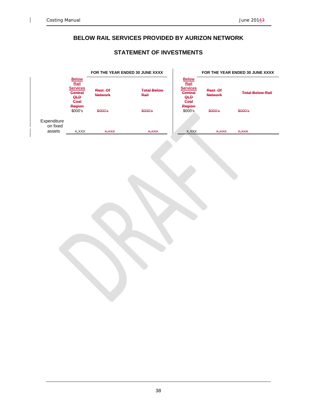$\mathbf{I}$ 

### **BELOW RAIL SERVICES PROVIDED BY AURIZON NETWORK**

### **STATEMENT OF INVESTMENTS**

| <b>Below</b><br><b>Below</b><br>Rail<br>Rail<br><b>Services</b><br><b>Services</b><br><b>Total Below</b><br>Rest Of<br>Rest Of<br><b>Central</b><br><b>Central</b><br><b>Total Below Rail</b><br><b>Network</b><br>Rail<br><b>Network</b><br><b>QLD</b><br><b>QLD</b><br><b>Coal</b><br><b>Coal</b><br>Region<br>Region<br>\$000's<br>\$000's<br>\$000's<br>\$000's<br>\$000's<br>\$000's<br>Expenditure<br>on fixed<br>assets<br>X, XXX<br>X, XXX<br>x, xxx<br>X, XXX<br><b>X,XXX</b><br>X, XXX | FOR THE YEAR ENDED 30 JUNE XXXX |
|--------------------------------------------------------------------------------------------------------------------------------------------------------------------------------------------------------------------------------------------------------------------------------------------------------------------------------------------------------------------------------------------------------------------------------------------------------------------------------------------------|---------------------------------|
|                                                                                                                                                                                                                                                                                                                                                                                                                                                                                                  |                                 |
|                                                                                                                                                                                                                                                                                                                                                                                                                                                                                                  |                                 |
|                                                                                                                                                                                                                                                                                                                                                                                                                                                                                                  |                                 |
|                                                                                                                                                                                                                                                                                                                                                                                                                                                                                                  |                                 |
|                                                                                                                                                                                                                                                                                                                                                                                                                                                                                                  |                                 |
|                                                                                                                                                                                                                                                                                                                                                                                                                                                                                                  |                                 |
|                                                                                                                                                                                                                                                                                                                                                                                                                                                                                                  |                                 |
|                                                                                                                                                                                                                                                                                                                                                                                                                                                                                                  |                                 |
|                                                                                                                                                                                                                                                                                                                                                                                                                                                                                                  |                                 |
|                                                                                                                                                                                                                                                                                                                                                                                                                                                                                                  |                                 |
|                                                                                                                                                                                                                                                                                                                                                                                                                                                                                                  |                                 |
|                                                                                                                                                                                                                                                                                                                                                                                                                                                                                                  |                                 |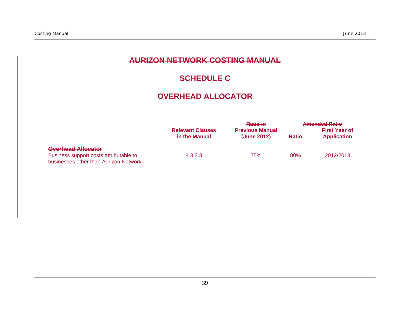# **AURIZON NETWORK COSTING MANUAL**

# **SCHEDULE C**

# **OVERHEAD ALLOCATOR**

|                                                                                              |                                          | Ratio in                              | <b>Amended Ratio</b> |                                            |  |  |
|----------------------------------------------------------------------------------------------|------------------------------------------|---------------------------------------|----------------------|--------------------------------------------|--|--|
|                                                                                              | <b>Relevant Clauses</b><br>in the Manual | <b>Previous Manual</b><br>(June 2012) | <b>Ratio</b>         | <b>First Year of</b><br><b>Application</b> |  |  |
| <b>Overhead Allocator</b>                                                                    |                                          |                                       |                      |                                            |  |  |
| Rueingee eupport coete attributable to<br><del>pusilices support costs attributable to</del> | 4.3.3.8                                  | <del>75%</del>                        | 80%                  | 2012/2013                                  |  |  |
| businesses other than Aurizon Network                                                        |                                          |                                       |                      |                                            |  |  |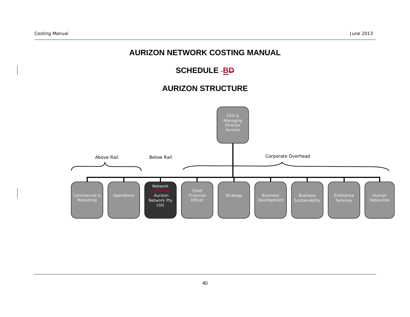# **AURIZON NETWORK COSTING MANUAL**

# SCHEDULE -<mark>BD</mark>

# **AURIZON STRUCTURE**